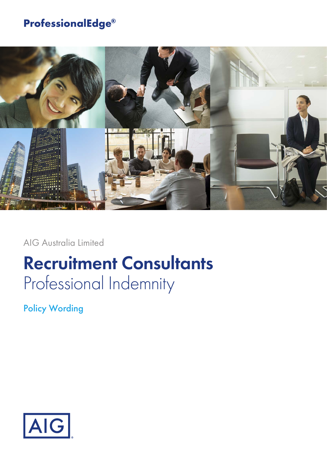## **ProfessionalEdge®**



AIG Australia Limited

# **Recruitment Consultants** Professional Indemnity

Policy Wording

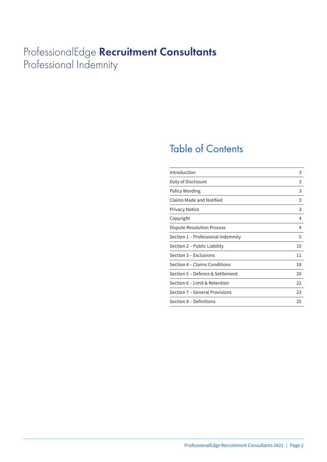## ProfessionalEdge **Recruitment Consultants** Professional Indemnity

## Table of Contents

| Introduction                       | 3  |
|------------------------------------|----|
| Duty of Disclosure                 | 3  |
| Policy Wording                     | 3  |
| Claims Made and Notified           | 3  |
| <b>Privacy Notice</b>              | 3  |
| Copyright                          | 4  |
| Dispute Resolution Process         | 4  |
| Section 1 - Professional Indemnity | 5  |
| Section 2 – Public Liability       | 10 |
| Section 3 – Exclusions             | 11 |
| Section 4 – Claims Conditions      | 18 |
| Section 5 – Defence & Settlement   | 20 |
| Section 6 – Limit & Retention      | 22 |
| Section 7 - General Provisions     | 23 |
| Section 8 – Definitions            | 25 |
|                                    |    |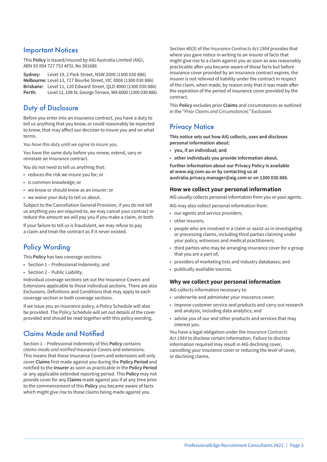### Important Notices

This **Policy** is issued/insured by AIG Australia Limited (AIG), ABN 93 004 727 753 AFSL No 381686

**Sydney:** Level 19, 2 Park Street, NSW 2000 (1300 030 886) **Melbourne:** Level 13, 717 Bourke Street, VIC 3008 (1300 030 886) **Brisbane:** Level 11, 120 Edward Street, QLD 4000 (1300 030 886) **Perth:** Level 11, 108 St. George Terrace, WA 6000 (1300 030 886)

### Duty of Disclosure

Before you enter into an insurance contract, you have a duty to tell us anything that you know, or could reasonably be expected to know, that may affect our decision to insure you and on what terms.

*You have this duty until we agree to insure you.*

You have the same duty before you renew, extend, vary or reinstate an insurance contract.

You do not need to tell us anything that:

- reduces the risk we insure you for; or
- is common knowledge; or
- we know or should know as an insurer; or
- we waive your duty to tell us about.

Subject to the Cancellation General Provision, if you do not tell us anything you are required to, we may cancel your contract or reduce the amount we will pay you if you make a claim, or both.

If your failure to tell us is fraudulent, we may refuse to pay a claim and treat the contract as if it never existed.

## Policy Wording

This **Policy** has two coverage sections:

- Section 1 Professional Indemnity; and
- Section 2 Public Liability.

Individual coverage sections set out the Insurance Covers and Extensions applicable to those individual sections. There are also Exclusions, Definitions and Conditions that may apply to each coverage section or both coverage sections.

If we issue you an insurance policy, a Policy Schedule will also be provided. The Policy Schedule will set out details of the cover provided and should be read together with this policy wording.

## Claims Made and Notified

Section 1 – Professional Indemnity of this **Policy** contains *claims-made and notified* Insurance Covers and extensions. This means that those Insurance Covers and extensions will only cover **Claims** first made against you during the **Policy Period** and notified to the **Insurer** as soon as practicable in the **Policy Period** or any applicable extended reporting period. This **Policy** may not provide cover for any **Claims** made against you if at any time prior to the commencement of this **Policy** you became aware of facts which might give rise to those claims being made against you.

Section 40(3) of the *Insurance Contracts Act 1984* provides that where you gave notice in writing to an insurer of facts that might give rise to a claim against you as soon as was reasonably practicable after you became aware of those facts but before insurance cover provided by an insurance contract expires, the insurer is not relieved of liability under the contract in respect of the claim, when made, by reason only that it was made after the expiration of the period of insurance cover provided by the contract.

This **Policy** excludes prior **Claims** and circumstances as outlined in the *"Prior Claims and Circumstances"* Exclusion.

## **Privacy Notice**

**This notice sets out how AIG collects, uses and discloses personal information about:**

- **you, if an individual; and**
- **other individuals you provide information about.**

**Further information about our Privacy Policy is available at www.aig.com.au or by contacting us at australia.privacy.manager@aig.com or on 1300 030 886.**

#### **How we collect your personal information**

AIG usually collects personal information from you or your agents.

- AIG may also collect personal information from:
- our agents and service providers;
- other insurers;
- people who are involved in a claim or assist us in investigating or processing claims, including third parties claiming under your policy, witnesses and medical practitioners;
- third parties who may be arranging insurance cover for a group that you are a part of;
- providers of marketing lists and industry databases; and
- publically available sources.

#### **Why we collect your personal information**

AIG collects information necessary to:

- underwrite and administer your insurance cover;
- improve customer service and products and carry out research and analysis, including data analytics; and
- advise you of our and other products and services that may interest you.

You have a legal obligation under the *Insurance Contracts Act 1984* to disclose certain information. Failure to disclose information required may result in AIG declining cover, cancelling your insurance cover or reducing the level of cover, or declining claims.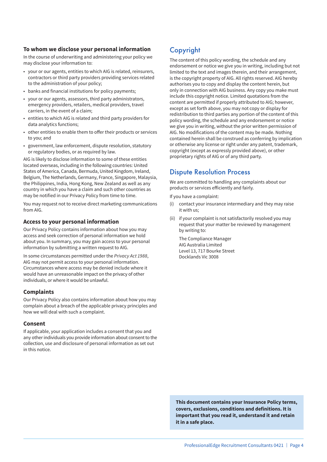#### **To whom we disclose your personal information**

In the course of underwriting and administering your policy we may disclose your information to:

- your or our agents, entities to which AIG is related, reinsurers, contractors or third party providers providing services related to the administration of your policy;
- banks and financial institutions for policy payments;
- your or our agents, assessors, third party administrators, emergency providers, retailers, medical providers, travel carriers, in the event of a claim;
- entities to which AIG is related and third party providers for data analytics functions;
- other entities to enable them to offer their products or services to you; and
- government, law enforcement, dispute resolution, statutory or regulatory bodies, or as required by law.

AIG is likely to disclose information to some of these entities located overseas, including in the following countries: United States of America, Canada, Bermuda, United Kingdom, Ireland, Belgium, The Netherlands, Germany, France, Singapore, Malaysia, the Philippines, India, Hong Kong, New Zealand as well as any country in which you have a claim and such other countries as may be notified in our Privacy Policy from time to time.

You may request not to receive direct marketing communications from AIG.

#### **Access to your personal information**

Our Privacy Policy contains information about how you may access and seek correction of personal information we hold about you. In summary, you may gain access to your personal information by submitting a written request to AIG.

In some circumstances permitted under the *Privacy Act 1988*, AIG may not permit access to your personal information. Circumstances where access may be denied include where it would have an unreasonable impact on the privacy of other individuals, or where it would be unlawful.

#### **Complaints**

Our Privacy Policy also contains information about how you may complain about a breach of the applicable privacy principles and how we will deal with such a complaint.

#### **Consent**

If applicable, your application includes a consent that you and any other individuals you provide information about consent to the collection, use and disclosure of personal information as set out in this notice.

## Copyright

The content of this policy wording, the schedule and any endorsement or notice we give you in writing, including but not limited to the text and images therein, and their arrangement, is the copyright property of AIG. All rights reserved. AIG hereby authorises you to copy and display the content herein, but only in connection with AIG business. Any copy you make must include this copyright notice. Limited quotations from the content are permitted if properly attributed to AIG; however, except as set forth above, you may not copy or display for redistribution to third parties any portion of the content of this policy wording, the schedule and any endorsement or notice we give you in writing, without the prior written permission of AIG. No modifications of the content may be made. Nothing contained herein shall be construed as conferring by implication or otherwise any license or right under any patent, trademark, copyright (except as expressly provided above), or other proprietary rights of AIG or of any third party.

### Dispute Resolution Process

We are committed to handling any complaints about our products or services efficiently and fairly.

If you have a complaint:

- (i) contact your insurance intermediary and they may raise it with us;
- (ii) if your complaint is not satisfactorily resolved you may request that your matter be reviewed by management by writing to:

The Compliance Manager AIG Australia Limited Level 13, 717 Bourke Street Docklands Vic 3008

**This document contains your Insurance Policy terms, covers, exclusions, conditions and definitions. It is important that you read it, understand it and retain it in a safe place.**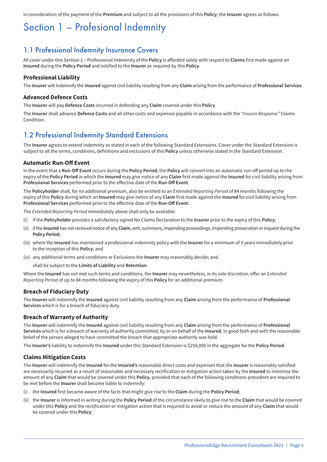In consideration of the payment of the **Premium** and subject to all the provisions of this **Policy**, the **Insurer** agrees as follows:

## Section 1 – Profesional Indemnity

### 1.1 Professional Indemnity Insurance Covers

All cover under this Section 1 – Professional Indemnity of the **Policy** is afforded solely with respect to **Claims** first made against an **Insured** during the **Policy Period** and notified to the **Insurer** as required by this **Policy**.

#### **Professional Liability**

The **Insurer** will indemnify the **Insured** against civil liability resulting from any **Claim** arising from the performance of **Professional Services**.

#### **Advanced Defence Costs**

The **Insurer** will pay **Defence Costs** incurred in defending any **Claim** covered under this **Policy**.

The **Insurer** shall advance **Defence Costs** and all other costs and expenses payable in accordance with the *"Insurer Response"* Claims **Condition** 

### 1.2 Professional Indemnity Standard Extensions

The **Insurer** agrees to extend indemnity as stated in each of the following Standard Extensions. Cover under the Standard Extension is subject to all the terms, conditions, definitions and exclusions of this **Policy** unless otherwise stated in the Standard Extension.

#### **Automatic Run-Off Event**

In the event that a **Run-Off Event** occurs during the **Policy Period**, the **Policy** will convert into an automatic run-off period up to the expiry of the **Policy Period** in which the **Insured** may give notice of any **Claim** first made against the **Insured** for civil liability arising from **Professional Services** performed prior to the effective date of the **Run-Off Event**.

The **Policyholder** shall, for no additional premium, also be entitled to an *Extended Reporting Period* of 84 months following the expiry of this **Policy** during which an **Insured** may give notice of any **Claim** first made against the **Insured** for civil liability arising from **Professional Services** performed prior to the effective date of the **Run-Off Event**.

The *Extended Reporting Period* immediately above shall only be available:

- (i) if the **Policyholder** provides a satisfactory signed No Claims Declaration to the **Insurer** prior to the expiry of this **Policy**;
- (ii) if the **Insured** has not received notice of any **Claim**, writ, summons, impending proceedings, impending prosecution or inquest during the **Policy Period**;
- (iii) where the **Insured** has maintained a professional indemnity policy with the **Insurer** for a minimum of 3 years immediately prior to the inception of this **Policy**; and
- (iv) any additional terms and conditions or Exclusions the **Insurer** may reasonably decide; and

shall be subject to the **Limits of Liability** and **Retention**.

Where the **Insured** has not met such terms and conditions, the **Insurer** may nevertheless, in its sole discretion, offer an *Extended Reporting Period* of up to 84 months following the expiry of this **Policy** for an additional premium.

#### **Breach of Fiduciary Duty**

The **Insurer** will indemnify the **Insured** against civil liability resulting from any **Claim** arising from the performance of **Professional Services** which is for a breach of fiduciary duty.

#### **Breach of Warranty of Authority**

The **Insurer** will indemnify the **Insured** against civil liability resulting from any **Claim** arising from the performance of **Professional Services** which is for a breach of warranty of authority committed, by or on behalf of the **Insured**, in good faith and with the reasonable belief of the person alleged to have committed the breach that appropriate authority was held.

The **Insurer's** liability to indemnify the **Insured** under this Standard Extension is \$250,000 in the aggregate for the **Policy Period**.

#### **Claims Mitigation Costs**

The **Insurer** will indemnify the **Insured** for the **Insured's** reasonable direct costs and expenses that the **Insurer** is reasonably satisfied are necessarily incurred as a result of reasonable and necessary rectification or mitigation action taken by the **Insured** to minimise the amount of any **Claim** that would be covered under this **Policy**, provided that each of the following conditions precedent are required to be met before the **Insurer** shall become liable to indemnify:

- (i) the **Insured** first became aware of the facts that might give rise to the **Claim** during the **Policy Period**;
- (ii) the **Insurer** is informed in writing during the **Policy Period** of the circumstance likely to give rise to the **Claim** that would be covered under this **Policy** and the rectification or mitigation action that is required to avoid or reduce the amount of any **Claim** that would be covered under this **Policy**;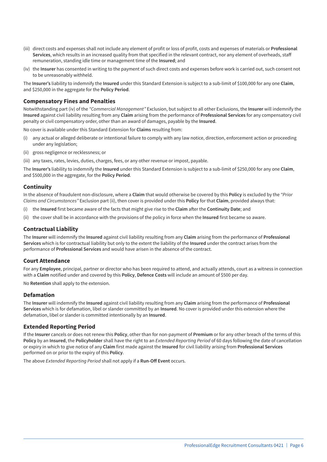- (iii) direct costs and expenses shall not include any element of profit or loss of profit, costs and expenses of materials or **Professional Services**, which results in an increased quality from that specified in the relevant contract, nor any element of overheads, staff remuneration, standing idle time or management time of the **Insured**; and
- (iv) the **Insurer** has consented in writing to the payment of such direct costs and expenses before work is carried out, such consent not to be unreasonably withheld.

The **Insurer's** liability to indemnify the **Insured** under this Standard Extension is subject to a sub-limit of \$100,000 for any one **Claim**, and \$250,000 in the aggregate for the **Policy Period**.

#### **Compensatory Fines and Penalties**

Notwithstanding part (iv) of the *"Commercial Management"* Exclusion, but subject to all other Exclusions, the **Insurer** will indemnify the **Insured** against civil liability resulting from any **Claim** arising from the performance of **Professional Services** for any compensatory civil penalty or civil compensatory order, other than an award of damages, payable by the **Insured**.

No cover is available under this Standard Extension for **Claims** resulting from:

- (i) any actual or alleged deliberate or intentional failure to comply with any law notice, direction, enforcement action or proceeding under any legislation;
- (ii) gross negligence or recklessness; or
- (iii) any taxes, rates, levies, duties, charges, fees, or any other revenue or impost, payable.

The **Insurer's** liability to indemnify the **Insured** under this Standard Extension is subject to a sub-limit of \$250,000 for any one **Claim**, and \$500,000 in the aggregate, for the **Policy Period**.

#### **Continuity**

In the absence of fraudulent non-disclosure, where a **Claim** that would otherwise be covered by this **Policy** is excluded by the *"Prior Claims and Circumstances"* Exclusion part (ii), then cover is provided under this **Policy** for that **Claim**, provided always that:

- (i) the **Insured** first became aware of the facts that might give rise to the **Claim** after the **Continuity Date**; and
- (ii) the cover shall be in accordance with the provisions of the policy in force when the **Insured** first became so aware.

#### **Contractual Liability**

The **Insurer** will indemnify the **Insured** against civil liability resulting from any **Claim** arising from the performance of **Professional Services** which is for contractual liability but only to the extent the liability of the **Insured** under the contract arises from the performance of **Professional Services** and would have arisen in the absence of the contract.

#### **Court Attendance**

For any **Employee**, principal, partner or director who has been required to attend, and actually attends, court as a witness in connection with a **Claim** notified under and covered by this **Policy**, **Defence Costs** will include an amount of \$500 per day.

No **Retention** shall apply to the extension.

#### **Defamation**

The **Insurer** will indemnify the **Insured** against civil liability resulting from any **Claim** arising from the performance of **Professional Services** which is for defamation, libel or slander committed by an **Insured**. No cover is provided under this extension where the defamation, libel or slander is committed intentionally by an **Insured**.

#### **Extended Reporting Period**

If the **Insurer** cancels or does not renew this **Policy**, other than for non-payment of **Premium** or for any other breach of the terms of this **Policy** by an **Insured**, the **Policyholder** shall have the right to an *Extended Reporting Period* of 60 days following the date of cancellation or expiry in which to give notice of any **Claim** first made against the **Insured** for civil liability arising from **Professional Services** performed on or prior to the expiry of this **Policy**.

The above *Extended Reporting Period* shall not apply if a **Run-Off Event** occurs.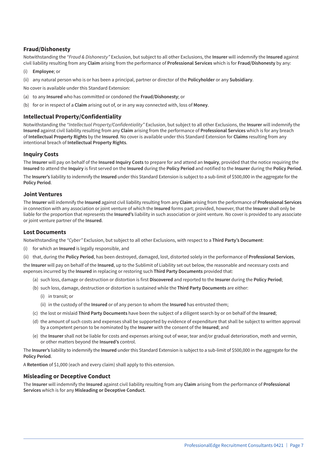#### **Fraud/Dishonesty**

Notwithstanding the *"Fraud & Dishonesty"* Exclusion, but subject to all other Exclusions, the **Insurer** will indemnify the **Insured** against civil liability resulting from any **Claim** arising from the performance of **Professional Services** which is for **Fraud/Dishonesty** by any:

- (i) **Employee**; or
- (ii) any natural person who is or has been a principal, partner or director of the **Policyholder** or any **Subsidiary**.

No cover is available under this Standard Extension:

- (a) to any **Insured** who has committed or condoned the **Fraud/Dishonesty**; or
- (b) for or in respect of a **Claim** arising out of, or in any way connected with, loss of **Money**.

#### **Intellectual Property/Confidentiality**

Notwithstanding the *"Intellectual Property/Confidentiality"* Exclusion, but subject to all other Exclusions, the **Insurer** will indemnify the **Insured** against civil liability resulting from any **Claim** arising from the performance of **Professional Services** which is for any breach of **Intellectual Property Rights** by the **Insured**. No cover is available under this Standard Extension for **Claims** resulting from any intentional breach of **Intellectual Property Rights**.

#### **Inquiry Costs**

The **Insurer** will pay on behalf of the **Insured Inquiry Costs** to prepare for and attend an **Inquiry**, provided that the notice requiring the **Insured** to attend the **Inquiry** is first served on the **Insured** during the **Policy Period** and notified to the **Insurer** during the **Policy Period**.

The **Insurer's** liability to indemnify the **Insured** under this Standard Extension is subject to a sub-limit of \$500,000 in the aggregate for the **Policy Period**.

#### **Joint Ventures**

The **Insurer** will indemnify the **Insured** against civil liability resulting from any **Claim** arising from the performance of **Professional Services** in connection with any association or joint venture of which the **Insured** forms part; provided, however, that the **Insurer** shall only be liable for the proportion that represents the **Insured's** liability in such association or joint venture. No cover is provided to any associate or joint venture partner of the **Insured**.

#### **Lost Documents**

Notwithstanding the *"Cyber"* Exclusion, but subject to all other Exclusions, with respect to a **Third Party's Document**:

- (i) for which an **Insured** is legally responsible, and
- (ii) that, during the **Policy Period**, has been destroyed, damaged, lost, distorted solely in the performance of **Professional Services**,

the **Insurer** will pay on behalf of the **Insured**, up to the Sublimit of Liability set out below, the reasonable and necessary costs and expenses incurred by the **Insured** in replacing or restoring such **Third Party Documents** provided that:

- (a) such loss, damage or destruction or distortion is first **Discovered** and reported to the **Insurer** during the **Policy Period**;
- (b) such loss, damage, destruction or distortion is sustained while the **Third Party Documents** are either:
	- (i) in transit; or
	- (ii) in the custody of the **Insured** or of any person to whom the **Insured** has entrusted them;
- (c) the lost or mislaid **Third Party Documents** have been the subject of a diligent search by or on behalf of the **Insured**;
- (d) the amount of such costs and expenses shall be supported by evidence of expenditure that shall be subject to written approval by a competent person to be nominated by the **Insurer** with the consent of the **Insured**; and
- (e) the **Insurer** shall not be liable for costs and expenses arising out of wear, tear and/or gradual deterioration, moth and vermin, or other matters beyond the **Insured's** control.

The **Insurer's** liability to indemnify the **Insured** under this Standard Extension is subject to a sub-limit of \$500,000 in the aggregate for the **Policy Period**.

A **Retention** of \$1,000 (each and every claim) shall apply to this extension.

#### **Misleading or Deceptive Conduct**

The **Insurer** will indemnify the **Insured** against civil liability resulting from any **Claim** arising from the performance of **Professional Services** which is for any **Misleading or Deceptive Conduct**.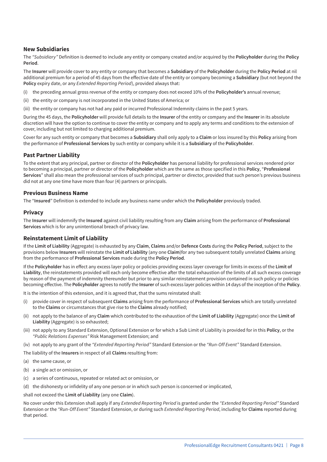#### **New Subsidiaries**

The *"Subsidiary"* Definition is deemed to include any entity or company created and/or acquired by the **Policyholder** during the **Policy Period**.

The **Insurer** will provide cover to any entity or company that becomes a **Subsidiary** of the **Policyholder** during the **Policy Period** at nil additional premium for a period of 45 days from the effective date of the entity or company becoming a **Subsidiary** (but not beyond the **Policy** expiry date, or any *Extended Reporting Period*), provided always that:

- (i) the preceding annual gross revenue of the entity or company does not exceed 10% of the **Policyholder's** annual revenue;
- (ii) the entity or company is not incorporated in the United States of America; or
- (iii) the entity or company has not had any paid or incurred Professional Indemnity claims in the past 5 years.

During the 45 days, the **Policyholder** will provide full details to the **Insurer** of the entity or company and the **Insurer** in its absolute discretion will have the option to continue to cover the entity or company and to apply any terms and conditions to the extension of cover, including but not limited to charging additional premium.

Cover for any such entity or company that becomes a **Subsidiary** shall only apply to a **Claim** or loss insured by this **Policy** arising from the performance of **Professional Services** by such entity or company while it is a **Subsidiary** of the **Policyholder**.

#### **Past Partner Liability**

To the extent that any principal, partner or director of the **Policyholder** has personal liability for professional services rendered prior to becoming a principal, partner or director of the **Policyholder** which are the same as those specified in this **Policy**, "**Professional Services**" shall also mean the professional services of such principal, partner or director, provided that such person's previous business did not at any one time have more than four (4) partners or principals.

#### **Previous Business Name**

The "**Insured**" Definition is extended to include any business name under which the **Policyholder** previously traded.

#### **Privacy**

The **Insurer** will indemnify the **Insured** against civil liability resulting from any **Claim** arising from the performance of **Professional Services** which is for any unintentional breach of privacy law.

#### **Reinstatement Limit of Liability**

If the **Limit of Liability** (Aggregate) is exhausted by any **Claim**, **Claims** and/or **Defence Costs** during the **Policy Period**, subject to the provisions below **Insurers** will reinstate the **Limit of Liability** (any one **Claim**)for any two subsequent totally unrelated **Claims** arising from the performance of **Professional Services** made during the **Policy Period**.

If the **Policyholder** has in effect any excess layer policy or policies providing excess layer coverage for limits in excess of the **Limit of Liability**, the reinstatements provided will each only become effective after the total exhaustion of the limits of all such excess coverage by reason of the payment of indemnity thereunder but prior to any similar reinstatement provision contained in such policy or policies becoming effective. The **Policyholder** agrees to notify the **Insurer** of such excess layer policies within 14 days of the inception of the **Policy**.

It is the intention of this extension, and it is agreed that, that the sums reinstated shall:

- (i) provide cover in respect of subsequent **Claims** arising from the performance of **Professional Services** which are totally unrelated to the **Claims** or circumstances that give rise to the **Claims** already notified;
- (ii) not apply to the balance of any **Claim** which contributed to the exhaustion of the **Limit of Liability** (Aggregate) once the **Limit of Liability** (Aggregate) is so exhausted;
- (iii) not apply to any Standard Extension, Optional Extension or for which a Sub Limit of Liability is provided for in this **Policy**, or the *"Public Relations Expenses"* Risk Management Extension; and
- (iv) not apply to any grant of the *"Extended Reporting Period"* Standard Extension or the *"Run-Off Event"* Standard Extension.

The liability of the **Insurers** in respect of all **Claims** resulting from:

- (a) the same cause, or
- (b) a single act or omission, or
- (c) a series of continuous, repeated or related act or omission, or
- (d) the dishonesty or infidelity of any one person or in which such person is concerned or implicated,

shall not exceed the **Limit of Liability** (any one **Claim**).

No cover under this Extension shall apply if any *Extended Reporting Period* is granted under the *"Extended Reporting Period"* Standard Extension or the *"Run-Off Event"* Standard Extension, or during such *Extended Reporting Period*, including for **Claims** reported during that period.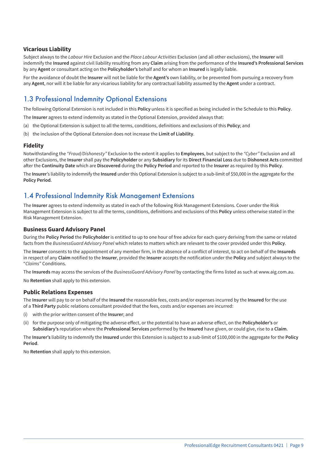#### **Vicarious Liability**

Subject always to the *Labour Hire* Exclusion and the *Place Labour Activities* Exclusion (and all other exclusions), the **Insurer** will indemnify the **Insured** against civil liability resulting from any **Claim** arising from the performance of the **Insured's Professional Services** by any **Agent** or consultant acting on the **Policyholder's** behalf and for whom an **Insured** is legally liable.

For the avoidance of doubt the **Insurer** will not be liable for the **Agent's** own liability, or be prevented from pursuing a recovery from any **Agent**, nor will it be liable for any vicarious liability for any contractual liability assumed by the **Agent** under a contract.

### 1.3 Professional Indemnity Optional Extensions

The following Optional Extension is not included in this **Policy** unless it is specified as being included in the Schedule to this **Policy**.

The **Insurer** agrees to extend indemnity as stated in the Optional Extension, provided always that:

- (a) the Optional Extension is subject to all the terms, conditions, definitions and exclusions of this **Policy**; and
- (b) the inclusion of the Optional Extension does not increase the **Limit of Liability**.

#### **Fidelity**

Notwithstanding the *"Fraud/Dishonesty"* Exclusion to the extent it applies to **Employees**, but subject to the *"Cyber"* Exclusion and all other Exclusions, the **Insurer** shall pay the **Policyholder** or any **Subsidiary** for its **Direct Financial Loss** due to **Dishonest Acts** committed after the **Continuity Date** which are **Discovered** during the **Policy Period** and reported to the **Insurer** as required by this **Policy**.

The **Insurer**'s liability to indemnify the **Insured** under this Optional Extension is subject to a sub-limit of \$50,000 in the aggregate for the **Policy Period**.

### 1.4 Professional Indemnity Risk Management Extensions

The **Insurer** agrees to extend indemnity as stated in each of the following Risk Management Extensions. Cover under the Risk Management Extension is subject to all the terms, conditions, definitions and exclusions of this **Policy** unless otherwise stated in the Risk Management Extension.

#### **Business Guard Advisory Panel**

During the **Policy Period** the **Policyholder** is entitled to up to one hour of free advice for each query deriving from the same or related facts from the *BusinessGuard Advisory Panel* which relates to matters which are relevant to the cover provided under this **Policy**.

The **Insurer** consents to the appointment of any member firm, in the absence of a conflict of interest, to act on behalf of the **Insureds** in respect of any **Claim** notified to the **Insurer**, provided the **Insurer** accepts the notification under the **Policy** and subject always to the "*Claims*" Conditions.

The **Insureds** may access the services of the *BusinessGuard Advisory Panel* by contacting the firms listed as such at www.aig.com.au.

No **Retention** shall apply to this extension.

#### **Public Relations Expenses**

The **Insurer** will pay to or on behalf of the **Insured** the reasonable fees, costs and/or expenses incurred by the **Insured** for the use of a **Third Party** public relations consultant provided that the fees, costs and/or expenses are incurred:

- (i) with the prior written consent of the **Insurer**; and
- (ii) for the purpose only of mitigating the adverse effect, or the potential to have an adverse effect, on the **Policyholder's** or **Subsidiary's** reputation where the **Professional Services** performed by the **Insured** have given, or could give, rise to a **Claim**.

The **Insurer's** liability to indemnify the **Insured** under this Extension is subject to a sub-limit of \$100,000 in the aggregate for the **Policy Period**.

No **Retention** shall apply to this extension.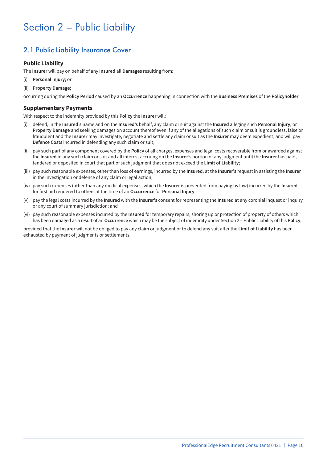## Section 2 – Public Liability

## 2.1 Public Liability Insurance Cover

#### **Public Liability**

The **Insurer** will pay on behalf of any **Insured** all **Damages** resulting from:

- (i) **Personal Injury**; or
- (ii) **Property Damage**;

occurring during the **Policy Period** caused by an **Occurrence** happening in connection with the **Business Premises** of the **Policyholder**.

#### **Supplementary Payments**

With respect to the indemnity provided by this **Policy** the **Insurer** will:

- (i) defend, in the **Insured's** name and on the **Insured's** behalf, any claim or suit against the **Insured** alleging such **Personal Injury**, or **Property Damage** and seeking damages on account thereof even if any of the allegations of such claim or suit is groundless, false or fraudulent and the **Insurer** may investigate, negotiate and settle any claim or suit as the **Insurer** may deem expedient, and will pay **Defence Costs** incurred in defending any such claim or suit;
- (ii) pay such part of any component covered by the **Policy** of all charges, expenses and legal costs recoverable from or awarded against the **Insured** in any such claim or suit and all interest accruing on the **Insurer's** portion of any judgment until the **Insurer** has paid, tendered or deposited in court that part of such judgment that does not exceed the **Limit of Liability**;
- (iii) pay such reasonable expenses, other than loss of earnings, incurred by the **Insured**, at the **Insurer's** request in assisting the **Insurer** in the investigation or defence of any claim or legal action;
- (iv) pay such expenses (other than any medical expenses, which the **Insurer** is prevented from paying by law) incurred by the **Insured** for first aid rendered to others at the time of an **Occurrence** for **Personal Injury**;
- (v) pay the legal costs incurred by the **Insured** with the **Insurer's** consent for representing the **Insured** at any coronial inquest or inquiry or any court of summary jurisdiction; and
- (vi) pay such reasonable expenses incurred by the **Insured** for temporary repairs, shoring up or protection of property of others which has been damaged as a result of an **Occurrence** which may be the subject of indemnity under Section 2 – Public Liability of this **Policy**,

provided that the **Insurer** will not be obliged to pay any claim or judgment or to defend any suit after the **Limit of Liability** has been exhausted by payment of judgments or settlements.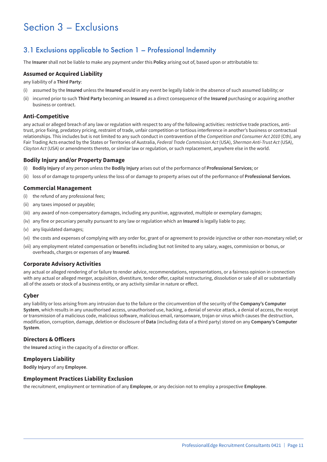## Section 3 – Exclusions

### 3.1 Exclusions applicable to Section 1 – Professional Indemnity

The **Insurer** shall not be liable to make any payment under this **Policy** arising out of, based upon or attributable to:

#### **Assumed or Acquired Liability**

any liability of a **Third Party**:

- (i) assumed by the **Insured** unless the **Insured** would in any event be legally liable in the absence of such assumed liability; or
- (ii) incurred prior to such **Third Party** becoming an **Insured** as a direct consequence of the **Insured** purchasing or acquiring another business or contract.

#### **Anti-Competitive**

any actual or alleged breach of any law or regulation with respect to any of the following activities: restrictive trade practices, antitrust, price fixing, predatory pricing, restraint of trade, unfair competition or tortious interference in another's business or contractual relationships. This includes but is not limited to any such conduct in contravention of the *Competition and Consumer Act 2010* (Cth), any Fair Trading Acts enacted by the States or Territories of Australia, *Federal Trade Commission Act* (USA), *Sherman Anti-Trust Act* (USA), *Clayton Act* (USA) or amendments thereto, or similar law or regulation, or such replacement, anywhere else in the world.

#### **Bodily Injury and/or Property Damage**

- (i) **Bodily Injury** of any person unless the **Bodily Injury** arises out of the performance of **Professional Services**; or
- (ii) loss of or damage to property unless the loss of or damage to property arises out of the performance of **Professional Services**.

#### **Commercial Management**

- (i) the refund of any professional fees;
- (ii) any taxes imposed or payable;
- (iii) any award of non-compensatory damages, including any punitive, aggravated, multiple or exemplary damages;
- (iv) any fine or pecuniary penalty pursuant to any law or regulation which an **Insured** is legally liable to pay;
- (v) any liquidated damages;
- (vi) the costs and expenses of complying with any order for, grant of or agreement to provide injunctive or other non-monetary relief; or
- (vii) any employment related compensation or benefits including but not limited to any salary, wages, commission or bonus, or overheads, charges or expenses of any **Insured**.

#### **Corporate Advisory Activities**

any actual or alleged rendering of or failure to render advice, recommendations, representations, or a fairness opinion in connection with any actual or alleged merger, acquisition, divestiture, tender offer, capital restructuring, dissolution or sale of all or substantially all of the assets or stock of a business entity, or any activity similar in nature or effect.

#### **Cyber**

any liability or loss arising from any intrusion due to the failure or the circumvention of the security of the **Company's Computer System**, which results in any unauthorised access, unauthorised use, hacking, a denial of service attack, a denial of access, the receipt or transmission of a malicious code, malicious software, malicious email, ransomware, trojan or virus which causes the destruction, modification, corruption, damage, deletion or disclosure of **Data** (including data of a third party) stored on any **Company's Computer System**.

#### **Directors & Officers**

the **Insured** acting in the capacity of a director or officer.

#### **Employers Liability**

**Bodily Injury** of any **Employee**.

#### **Employment Practices Liability Exclusion**

the recruitment, employment or termination of any **Employee**, or any decision not to employ a prospective **Employee**.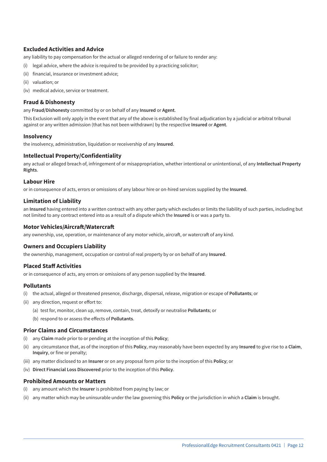#### **Excluded Activities and Advice**

any liability to pay compensation for the actual or alleged rendering of or failure to render any:

- (i) legal advice, where the advice is required to be provided by a practicing solicitor;
- (ii) financial, insurance or investment advice;
- (ii) valuation; or
- (iv) medical advice, service or treatment.

#### **Fraud & Dishonesty**

any **Fraud/Dishonesty** committed by or on behalf of any **Insured** or **Agent**.

This Exclusion will only apply in the event that any of the above is established by final adjudication by a judicial or arbitral tribunal against or any written admission (that has not been withdrawn) by the respective **Insured** or **Agent**.

#### **Insolvency**

the insolvency, administration, liquidation or receivership of any **Insured**.

#### **Intellectual Property/Confidentiality**

any actual or alleged breach of, infringement of or misappropriation, whether intentional or unintentional, of any **Intellectual Property Rights**.

#### **Labour Hire**

or in consequence of acts, errors or omissions of any labour hire or on-hired services supplied by the **Insured**.

#### **Limitation of Liability**

an **Insured** having entered into a written contract with any other party which excludes or limits the liability of such parties, including but not limited to any contract entered into as a result of a dispute which the **Insured** is or was a party to.

#### **Motor Vehicles/Aircraft/Watercraft**

any ownership, use, operation, or maintenance of any motor vehicle, aircraft, or watercraft of any kind.

#### **Owners and Occupiers Liability**

the ownership, management, occupation or control of real property by or on behalf of any **Insured**.

#### **Placed Staff Activities**

or in consequence of acts, any errors or omissions of any person supplied by the **Insured**.

#### **Pollutants**

- (i) the actual, alleged or threatened presence, discharge, dispersal, release, migration or escape of **Pollutants**; or
- (ii) any direction, request or effort to:
	- (a) test for, monitor, clean up, remove, contain, treat, detoxify or neutralise **Pollutants**; or
	- (b) respond to or assess the effects of **Pollutants**.

#### **Prior Claims and Circumstances**

- any **Claim** made prior to or pending at the inception of this Policy;
- (ii) any circumstance that, as of the inception of this **Policy**, may reasonably have been expected by any **Insured** to give rise to a **Claim**, **Inquiry**, or fine or penalty;
- (iii) any matter disclosed to an **Insurer** or on any proposal form prior to the inception of this **Policy**; or
- (iv) **Direct Financial Loss Discovered** prior to the inception of this **Policy**.

#### **Prohibited Amounts or Matters**

- (i) any amount which the **Insurer** is prohibited from paying by law; or
- (ii) any matter which may be uninsurable under the law governing this **Policy** or the jurisdiction in which a **Claim** is brought.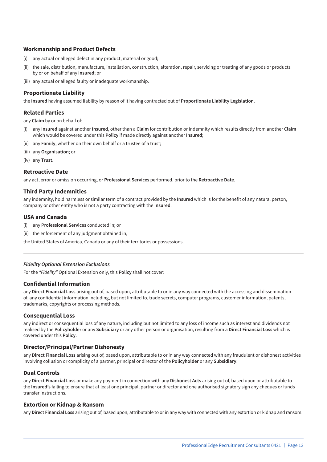#### **Workmanship and Product Defects**

- (i) any actual or alleged defect in any product, material or good;
- (ii) the sale, distribution, manufacture, installation, construction, alteration, repair, servicing or treating of any goods or products by or on behalf of any **Insured**; or
- (iii) any actual or alleged faulty or inadequate workmanship.

#### **Proportionate Liability**

the **Insured** having assumed liability by reason of it having contracted out of **Proportionate Liability Legislation**.

#### **Related Parties**

any **Claim** by or on behalf of:

- (i) any **Insured** against another **Insured**, other than a **Claim** for contribution or indemnity which results directly from another **Claim** which would be covered under this **Policy** if made directly against another **Insured**;
- (ii) any **Family**, whether on their own behalf or a trustee of a trust;
- (iii) any **Organisation**; or
- (iv) any **Trust**.

#### **Retroactive Date**

any act, error or omission occurring, or **Professional Services** performed, prior to the **Retroactive Date**.

#### **Third Party Indemnities**

any indemnity, hold harmless or similar term of a contract provided by the **Insured** which is for the benefit of any natural person, company or other entity who is not a party contracting with the **Insured**.

#### **USA and Canada**

- (i) any **Professional Services** conducted in; or
- (ii) the enforcement of any judgment obtained in,

the United States of America, Canada or any of their territories or possessions.

#### *Fidelity Optional Extension Exclusions*

For the *"Fidelity"* Optional Extension only, this **Policy** shall not cover:

#### **Confidential Information**

any **Direct Financial Loss** arising out of, based upon, attributable to or in any way connected with the accessing and dissemination of, any confidential information including, but not limited to, trade secrets, computer programs, customer information, patents, trademarks, copyrights or processing methods.

#### **Consequential Loss**

any indirect or consequential loss of any nature, including but not limited to any loss of income such as interest and dividends not realised by the **Policyholder** or any **Subsidiary** or any other person or organisation, resulting from a **Direct Financial Loss** which is covered under this **Policy**.

#### **Director/Principal/Partner Dishonesty**

any **Direct Financial Loss** arising out of, based upon, attributable to or in any way connected with any fraudulent or dishonest activities involving collusion or complicity of a partner, principal or director of the **Policyholder** or any **Subsidiary**.

#### **Dual Controls**

any **Direct Financial Loss** or make any payment in connection with any **Dishonest Acts** arising out of, based upon or attributable to the **Insured's** failing to ensure that at least one principal, partner or director and one authorised signatory sign any cheques or funds transfer instructions.

#### **Extortion or Kidnap & Ransom**

any **Direct Financial Loss** arising out of, based upon, attributable to or in any way with connected with any extortion or kidnap and ransom.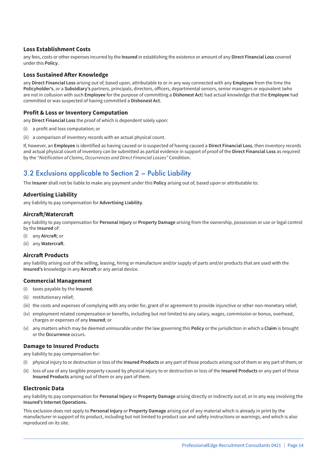#### **Loss Establishment Costs**

any fees, costs or other expenses incurred by the **Insured** in establishing the existence or amount of any **Direct Financial Loss** covered under this **Policy**.

#### **Loss Sustained After Knowledge**

any **Direct Financial Loss** arising out of, based upon, attributable to or in any way connected with any **Employee** from the time the **Policyholder's**, or a **Subsidiary's** partners, principals, directors, officers, departmental seniors, senior managers or equivalent (who are not in collusion with such **Employee** for the purpose of committing a **Dishonest Act**) had actual knowledge that the **Employee** had committed or was suspected of having committed a **Dishonest Act**.

#### **Profit & Loss or Inventory Computation**

any **Direct Financial Loss** the proof of which is dependent solely upon:

- (i) a profit and loss computation; or
- (ii) a comparison of inventory records with an actual physical count.

If, however, an **Employee** is identified as having caused or is suspected of having caused a **Direct Financial Loss**, then inventory records and actual physical count of inventory can be submitted as partial evidence in support of proof of the **Direct Financial Loss** as required by the *"Notification of Claims, Occurrences and Direct Financial Losses"* Condition.

## 3.2 Exclusions applicable to Section 2 – Public Liability

The **Insurer** shall not be liable to make any payment under this **Policy** arising out of, based upon or attributable to:

#### **Advertising Liability**

any liability to pay compensation for **Advertising Liability**.

#### **Aircraft/Watercraft**

any liability to pay compensation for **Personal Injury** or **Property Damage** arising from the ownership, possession or use or legal control by the **Insured** of:

- (i) any **Aircraft**; or
- (ii) any **Watercraft**.

#### **Aircraft Products**

any liability arising out of the selling, leasing, hiring or manufacture and/or supply of parts and/or products that are used with the **Insured's** knowledge in any **Aircraft** or any aerial device.

#### **Commercial Management**

- (i) taxes payable by the **Insured**;
- (ii) restitutionary relief;
- (iii) the costs and expenses of complying with any order for, grant of or agreement to provide injunctive or other non-monetary relief;
- (iv) employment related compensation or benefits, including but not limited to any salary, wages, commission or bonus, overhead, charges or expenses of any **Insured**; or
- (v) any matters which may be deemed uninsurable under the law governing this **Policy** or the jurisdiction in which a **Claim** is brought or the **Occurrence** occurs.

#### **Damage to Insured Products**

any liability to pay compensation for:

- (i) physical injury to or destruction or loss of the **Insured Products** or any part of those products arising out of them or any part of them; or
- (ii) loss of use of any tangible property caused by physical injury to or destruction or loss of the **Insured Products** or any part of those **Insured Products** arising out of them or any part of them.

#### **Electronic Data**

any liability to pay compensation for **Personal Injury** or **Property Damage** arising directly or indirectly out of, or in any way involving the **Insured's Internet Operations.**

This exclusion does not apply to **Personal Injury** or **Property Damage** arising out of any material which is already in print by the manufacturer in support of its product, including but not limited to product use and safety instructions or warnings, and which is also reproduced on its site.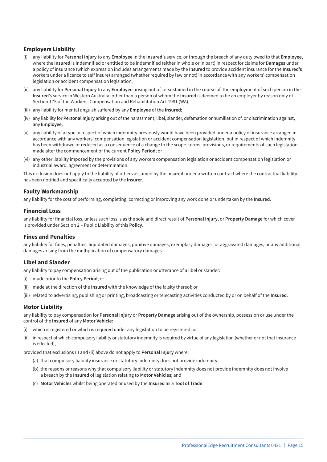#### **Employers Liability**

- (i) any liability for **Personal Injury** to any **Employee** in the **Insured's** service, or through the breach of any duty owed to that **Employee,** where the **Insured** is indemnified or entitled to be indemnified (either in whole or in part) in respect for claims for **Damages** under a policy of insurance (which expression includes arrangements made by the **Insured** to provide accident insurance for the **Insured's** workers under a licence to self insure) arranged (whether required by law or not) in accordance with any workers' compensation legislation or accident compensation legislation;
- (ii) any liability for **Personal Injury** to any **Employee** arising out of, or sustained in the course of, the employment of such person in the **Insured**'s service in Western Australia, other than a person of whom the **Insured** is deemed to be an employer by reason only of Section 175 of the Workers' Compensation and Rehabilitation Act 1981 (WA);
- (iii) any liability for mental anguish suffered by any **Employee** of the **Insured**;
- (iv) any liability for **Personal Injury** arising out of the harassment, libel, slander, defamation or humiliation of, or discrimination against, any **Employee**;
- (v) any liability of a type in respect of which indemnity previously would have been provided under a policy of insurance arranged in accordance with any workers' compensation legislation or accident compensation legislation, but in respect of which indemnity has been withdrawn or reduced as a consequence of a change to the scope, terms, provisions, or requirements of such legislation made after the commencement of the current **Policy Period**; or
- (vi) any other liability imposed by the provisions of any workers compensation legislation or accident compensation legislation or industrial award, agreement or determination.

This exclusion does not apply to the liability of others assumed by the **Insured** under a written contract where the contractual liability has been notified and specifically accepted by the **Insurer**.

#### **Faulty Workmanship**

any liability for the cost of performing, completing, correcting or improving any work done or undertaken by the **Insured**.

#### **Financial Loss**

any liability for financial loss, unless such loss is as the sole and direct result of **Personal Injury**, or **Property Damage** for which cover is provided under Section 2 – Public Liability of this **Policy**.

#### **Fines and Penalties**

any liability for fines, penalties, liquidated damages, punitive damages, exemplary damages, or aggravated damages, or any additional damages arising from the multiplication of compensatory damages.

#### **Libel and Slander**

any liability to pay compensation arising out of the publication or utterance of a libel or slander:

- (i) made prior to the **Policy Period**; or
- (ii) made at the direction of the **Insured** with the knowledge of the falsity thereof; or
- (iii) related to advertising, publishing or printing, broadcasting or telecasting activities conducted by or on behalf of the **Insured**.

#### **Motor Liability**

any liability to pay compensation for **Personal Injury** or **Property Damage** arising out of the ownership, possession or use under the control of the **Insured** of any **Motor Vehicle**:

- (i) which is registered or which is required under any legislation to be registered; or
- (ii) in respect of which compulsory liability or statutory indemnity is required by virtue of any legislation (whether or not that insurance is effected),

provided that exclusions (i) and (ii) above do not apply to **Personal Injury** where:

- (a) that compulsory liability insurance or statutory indemnity does not provide indemnity;
- (b) the reasons or reasons why that compulsory liability or statutory indemnity does not provide indemnity does not involve a breach by the **Insured** of legislation relating to **Motor Vehicles**; and
- (c) **Motor Vehicles** whilst being operated or used by the **Insured** as a **Tool of Trade**.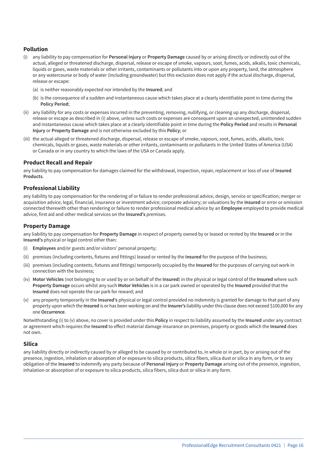#### **Pollution**

- (i) any liability to pay compensation for **Personal Injury** or **Property Damage** caused by or arising directly or indirectly out of the actual, alleged or threatened discharge, dispersal, release or escape of smoke, vapours, soot, fumes, acids, alkalis, toxic chemicals, liquids or gases, waste materials or other irritants, contaminants or pollutants into or upon any property, land, the atmosphere or any watercourse or body of water (including groundwater) but this exclusion does not apply if the actual discharge, dispersal, release or escape:
	- (a) is neither reasonably expected nor intended by the **Insured**; and
	- (b) is the consequence of a sudden and instantaneous cause which takes place at a clearly identifiable point in time during the **Policy Period**;
- (ii) any liability for any costs or expenses incurred in the preventing, removing, nullifying, or cleaning up any discharge, dispersal, release or escape as described in (i) above, unless such costs or expenses are consequent upon an unexpected, unintended sudden and instantaneous cause which takes place at a clearly identifiable point in time during the **Policy Period** and results in **Personal Injury** or **Property Damage** and is not otherwise excluded by this **Policy**; or
- (iii) the actual alleged or threatened discharge, dispersal, release or escape of smoke, vapours, soot, fumes, acids, alkalis, toxic chemicals, liquids or gases, waste materials or other irritants, contaminants or pollutants in the United States of America (USA) or Canada or in any country to which the laws of the USA or Canada apply.

#### **Product Recall and Repair**

any liability to pay compensation for damages claimed for the withdrawal, inspection, repair, replacement or loss of use of **Insured Products**.

#### **Professional Liability**

any liability to pay compensation for the rendering of or failure to render professional advice, design, service or specification; merger or acquisition advice; legal, financial, insurance or investment advice; corporate advisory; or valuations by the **Insured** or error or omission connected therewith other than rendering or failure to render professional medical advice by an **Employee** employed to provide medical advice, first aid and other medical services on the **Insured's** premises.

#### **Property Damage**

any liability to pay compensation for **Property Damage** in respect of property owned by or leased or rented by the **Insured** or in the **Insured's** physical or legal control other than:

- (i) **Employees** and/or guests and/or visitors' personal property;
- (ii) premises (including contents, fixtures and fittings) leased or rented by the **Insured** for the purpose of the business;
- (iii) premises (including contents, fixtures and fittings) temporarily occupied by the **Insured** for the purposes of carrying out work in connection with the business;
- (iv) **Motor Vehicles** (not belonging to or used by or on behalf of the **Insured**) in the physical or legal control of the **Insured** where such **Property Damage** occurs whilst any such **Motor Vehicles** is in a car park owned or operated by the **Insured** provided that the **Insured** does not operate the car park for reward; and
- (v) any property temporarily in the **Insured's** physical or legal control provided no indemnity is granted for damage to that part of any property upon which the **Insured** is or has been working on and the **Insurer's** liability under this clause does not exceed \$100,000 for any one **Occurrence**.

Notwithstanding (i) to (v) above, no cover is provided under this **Policy** in respect to liability assumed by the **Insured** under any contract or agreement which requires the **Insured** to effect material damage insurance on premises, property or goods which the **Insured** does not own.

#### **Silica**

any liability directly or indirectly caused by or alleged to be caused by or contributed to, in whole or in part, by or arising out of the presence, ingestion, inhalation or absorption of or exposure to silica products, silica fibers, silica dust or silica in any form, or to any obligation of the **Insured** to indemnify any party because of **Personal Injury** or **Property Damage** arising out of the presence, ingestion, inhalation or absorption of or exposure to silica products, silica fibers, silica dust or silica in any form.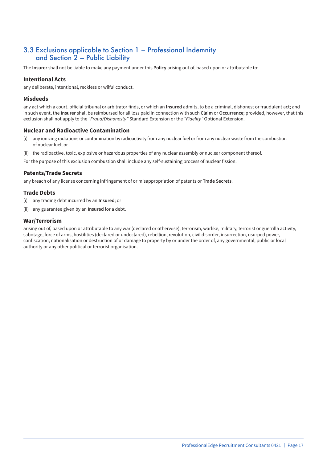### 3.3 Exclusions applicable to Section 1 – Professional Indemnity and Section 2 – Public Liability

The **Insurer** shall not be liable to make any payment under this **Policy** arising out of, based upon or attributable to:

#### **Intentional Acts**

any deliberate, intentional, reckless or wilful conduct.

#### **Misdeeds**

any act which a court, official tribunal or arbitrator finds, or which an **Insured** admits, to be a criminal, dishonest or fraudulent act; and in such event, the **Insurer** shall be reimbursed for all loss paid in connection with such **Claim** or **Occurrence**; provided, however, that this exclusion shall not apply to the *"Fraud/Dishonesty"* Standard Extension or the *"Fidelity"* Optional Extension.

#### **Nuclear and Radioactive Contamination**

- (i) any ionizing radiations or contamination by radioactivity from any nuclear fuel or from any nuclear waste from the combustion of nuclear fuel; or
- (ii) the radioactive, toxic, explosive or hazardous properties of any nuclear assembly or nuclear component thereof.
- For the purpose of this exclusion combustion shall include any self-sustaining process of nuclear fission.

#### **Patents/Trade Secrets**

any breach of any license concerning infringement of or misappropriation of patents or **Trade Secrets**.

#### **Trade Debts**

- (i) any trading debt incurred by an **Insured**; or
- (ii) any guarantee given by an **Insured** for a debt.

#### **War/Terrorism**

arising out of, based upon or attributable to any war (declared or otherwise), terrorism, warlike, military, terrorist or guerrilla activity, sabotage, force of arms, hostilities (declared or undeclared), rebellion, revolution, civil disorder, insurrection, usurped power, confiscation, nationalisation or destruction of or damage to property by or under the order of, any governmental, public or local authority or any other political or terrorist organisation.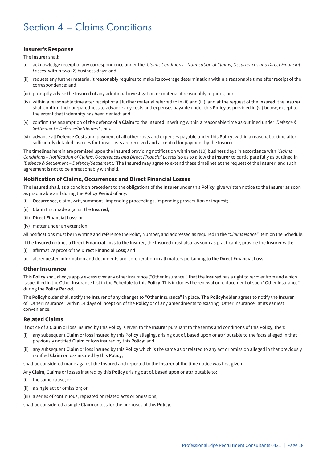## Section 4 – Claims Conditions

#### **Insurer's Response**

The **Insurer** shall:

- (i) acknowledge receipt of any correspondence under the '*Claims Conditions Notification of Claims, Occurrences and Direct Financial Losses'* within two (2) business days; and
- (ii) request any further material it reasonably requires to make its coverage determination within a reasonable time after receipt of the correspondence; and
- (iii) promptly advise the **Insured** of any additional investigation or material it reasonably requires; and
- (iv) within a reasonable time after receipt of all further material referred to in (ii) and (iii); and at the request of the **Insured**, the **Insurer** shall confirm their preparedness to advance any costs and expenses payable under this **Policy** as provided in (vi) below, except to the extent that indemnity has been denied; and
- (v) confirm the assumption of the defence of a **Claim** to the **Insured** in writing within a reasonable time as outlined under *'Defence & Settlement – Defence/Settlement'*; and
- (vi) advance all **Defence Costs** and payment of all other costs and expenses payable under this **Policy**, within a reasonable time after sufficiently detailed invoices for those costs are received and accepted for payment by the **Insurer**.

The timelines herein are premised upon the **Insured** providing notification within ten (10) business days in accordance with *'Claims Conditions – Notification of Claims, Occurrences and Direct Financial Losses'* so as to allow the **Insurer** to participate fully as outlined in *'Defence & Settlement – Defence/Settlement.'* The **Insured** may agree to extend these timelines at the request of the **Insurer**, and such agreement is not to be unreasonably withheld.

#### **Notification of Claims, Occurrences and Direct Financial Losses**

The **Insured** shall, as a condition precedent to the obligations of the **Insurer** under this **Policy**, give written notice to the **Insurer** as soon as practicable and during the **Policy Period** of any:

- (i) **Occurrence**, claim, writ, summons, impending proceedings, impending prosecution or inquest;
- (ii) **Claim** first made against the **Insured**;
- (iii) **Direct Financial Loss**; or
- (iv) matter under an extension.

All notifications must be in writing and reference the Policy Number, and addressed as required in the *"Claims Notice"* Item on the Schedule.

If the **Insured** notifies a **Direct Financial Loss** to the **Insurer**, the **Insured** must also, as soon as practicable, provide the **Insurer** with:

- (i) affirmative proof of the **Direct Financial Loss**; and
- (ii) all requested information and documents and co-operation in all matters pertaining to the **Direct Financial Loss**.

#### **Other Insurance**

This **Policy** shall always apply excess over any other insurance ("Other Insurance") that the **Insured** has a right to recover from and which is specified in the Other Insurance List in the Schedule to this **Policy**. This includes the renewal or replacement of such "Other Insurance" during the **Policy Period**.

The **Policyholder** shall notify the **Insurer** of any changes to "Other Insurance" in place. The **Policyholder** agrees to notify the **Insurer** of "Other Insurance" within 14 days of inception of the **Policy** or of any amendments to existing "Other Insurance" at its earliest convenience.

#### **Related Claims**

If notice of a **Claim** or loss insured by this **Policy** is given to the **Insurer** pursuant to the terms and conditions of this **Policy**, then:

- (i) any subsequent **Claim** or loss insured by this **Policy** alleging, arising out of, based upon or attributable to the facts alleged in that previously notified **Claim** or loss insured by this **Policy**; and
- (ii) any subsequent **Claim** or loss insured by this **Policy** which is the same as or related to any act or omission alleged in that previously notified **Claim** or loss insured by this **Policy**,

shall be considered made against the **Insured** and reported to the **Insurer** at the time notice was first given.

Any **Claim**, **Claims** or losses insured by this **Policy** arising out of, based upon or attributable to:

- (i) the same cause; or
- (ii) a single act or omission; or
- (iii) a series of continuous, repeated or related acts or omissions,

shall be considered a single **Claim** or loss for the purposes of this **Policy**.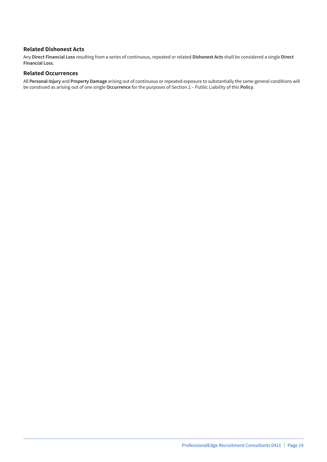#### **Related Dishonest Acts**

Any **Direct Financial Loss** resulting from a series of continuous, repeated or related **Dishonest Acts** shall be considered a single **Direct Financial Loss**.

#### **Related Occurrences**

All **Personal Injury** and **Property Damage** arising out of continuous or repeated exposure to substantially the same general conditions will be construed as arising out of one single **Occurrence** for the purposes of Section 2 – Public Liability of this **Policy**.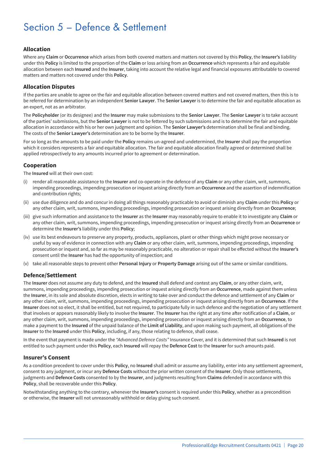## Section 5 – Defence & Settlement

#### **Allocation**

Where any **Claim** or **Occurrence** which arises from both covered matters and matters not covered by this **Policy**, the **Insurer's** liability under this **Policy** is limited to the proportion of the **Claim** or loss arising from an **Occurrence** which represents a fair and equitable allocation between each **Insured** and the **Insurer**, taking into account the relative legal and financial exposures attributable to covered matters and matters not covered under this **Policy**.

#### **Allocation Disputes**

If the parties are unable to agree on the fair and equitable allocation between covered matters and not covered matters, then this is to be referred for determination by an independent **Senior Lawyer**. The **Senior Lawyer** is to determine the fair and equitable allocation as an expert, not as an arbitrator.

The **Policyholder** (or its designee) and the **Insurer** may make submissions to the **Senior Lawyer**. The **Senior Lawyer** is to take account of the parties' submissions, but the **Senior Lawyer** is not to be fettered by such submissions and is to determine the fair and equitable allocation in accordance with his or her own judgment and opinion. The **Senior Lawyer's** determination shall be final and binding. The costs of the **Senior Lawyer's** determination are to be borne by the **Insurer**.

For so long as the amounts to be paid under the **Policy** remains un-agreed and undetermined, the **Insurer** shall pay the proportion which it considers represents a fair and equitable allocation. The fair and equitable allocation finally agreed or determined shall be applied retrospectively to any amounts incurred prior to agreement or determination.

#### **Cooperation**

The **Insured** will at their own cost:

- (i) render all reasonable assistance to the **Insurer** and co-operate in the defence of any **Claim** or any other claim, writ, summons, impending proceedings, impending prosecution or inquest arising directly from an **Occurrence** and the assertion of indemnification and contribution rights;
- (ii) use due diligence and do and concur in doing all things reasonably practicable to avoid or diminish any **Claim** under this **Policy** or any other claim, writ, summons, impending proceedings, impending prosecution or inquest arising directly from an **Occurrence**;
- (iii) give such information and assistance to the **Insurer** as the **Insurer** may reasonably require to enable it to investigate any **Claim** or any other claim, writ, summons, impending proceedings, impending prosecution or inquest arising directly from an **Occurrence** or determine the **Insurer's** liability under this **Policy**;
- (iv) use its best endeavours to preserve any property, products, appliances, plant or other things which might prove necessary or useful by way of evidence in connection with any **Claim** or any other claim, writ, summons, impending proceedings, impending prosecution or inquest and, so far as may be reasonably practicable, no alteration or repair shall be effected without the **Insurer's** consent until the **Insurer** has had the opportunity of inspection; and
- (v) take all reasonable steps to prevent other **Personal Injury** or **Property Damage** arising out of the same or similar conditions.

#### **Defence/Settlement**

The **Insurer** does not assume any duty to defend, and the **Insured** shall defend and contest any **Claim**, or any other claim, writ, summons, impending proceedings, impending prosecution or inquest arising directly from an **Occurrence**, made against them unless the **Insurer**, in its sole and absolute discretion, elects in writing to take over and conduct the defence and settlement of any **Claim** or any other claim, writ, summons, impending proceedings, impending prosecution or inquest arising directly from an **Occurrence**. If the **Insurer** does not so elect, it shall be entitled, but not required, to participate fully in such defence and the negotiation of any settlement that involves or appears reasonably likely to involve the **Insurer**. The **Insurer** has the right at any time after notification of a **Claim**, or any other claim, writ, summons, impending proceedings, impending prosecution or inquest arising directly from an **Occurrence**, to make a payment to the **Insured** of the unpaid balance of the **Limit of Liability**, and upon making such payment, all obligations of the **Insurer** to the **Insured** under this **Policy**, including, if any, those relating to defence, shall cease.

In the event that payment is made under the *"Advanced Defence Costs"* Insurance Cover, and it is determined that such **Insured** is not entitled to such payment under this **Policy**, each **Insured** will repay the **Defence Cost** to the **Insurer** for such amounts paid.

#### **Insurer's Consent**

As a condition precedent to cover under this **Policy**, no **Insured** shall admit or assume any liability, enter into any settlement agreement, consent to any judgment, or incur any **Defence Costs** without the prior written consent of the **Insurer**. Only those settlements, judgments and **Defence Costs** consented to by the **Insurer**, and judgments resulting from **Claims** defended in accordance with this **Policy**, shall be recoverable under this **Policy**.

Notwithstanding anything to the contrary, whenever the **Insurer's** consent is required under this **Policy**, whether as a precondition or otherwise, the **Insurer** will not unreasonably withhold or delay giving such consent.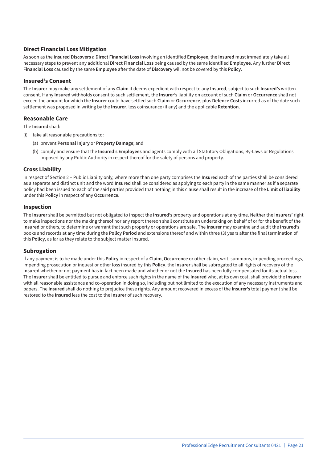#### **Direct Financial Loss Mitigation**

As soon as the **Insured Discovers** a **Direct Financial Loss** involving an identified **Employee**, the **Insured** must immediately take all necessary steps to prevent any additional **Direct Financial Loss** being caused by the same identified **Employee**. Any further **Direct Financial Loss** caused by the same **Employee** after the date of **Discovery** will not be covered by this **Policy**.

#### **Insured's Consent**

The **Insurer** may make any settlement of any **Claim** it deems expedient with respect to any **Insured**, subject to such **Insured's** written consent. If any **Insured** withholds consent to such settlement, the **Insurer's** liability on account of such **Claim** or **Occurrence** shall not exceed the amount for which the **Insurer** could have settled such **Claim** or **Occurrence**, plus **Defence Costs** incurred as of the date such settlement was proposed in writing by the **Insurer**, less coinsurance (if any) and the applicable **Retention**.

#### **Reasonable Care**

The **Insured** shall:

- (i) take all reasonable precautions to:
	- (a) prevent **Personal Injury** or **Property Damage**; and
	- (b) comply and ensure that the **Insured's Employees** and agents comply with all Statutory Obligations, By-Laws or Regulations imposed by any Public Authority in respect thereof for the safety of persons and property.

#### **Cross Liability**

In respect of Section 2 – Public Liabilty only, where more than one party comprises the **Insured** each of the parties shall be considered as a separate and distinct unit and the word **Insured** shall be considered as applying to each party in the same manner as if a separate policy had been issued to each of the said parties provided that nothing in this clause shall result in the increase of the **Limit of liability** under this **Policy** in respect of any **Occurrence**.

#### **Inspection**

The **Insurer** shall be permitted but not obligated to inspect the **Insured's** property and operations at any time. Neither the **Insurers'** right to make inspections nor the making thereof nor any report thereon shall constitute an undertaking on behalf of or for the benefit of the **Insured** or others, to determine or warrant that such property or operations are safe. The **Insurer** may examine and audit the **Insured's** books and records at any time during the **Policy Period** and extensions thereof and within three (3) years after the final termination of this **Policy**, as far as they relate to the subject matter insured.

#### **Subrogation**

If any payment is to be made under this **Policy** in respect of a **Claim**, **Occurrence** or other claim, writ, summons, impending proceedings, impending prosecution or inquest or other loss insured by this **Policy**, the **Insurer** shall be subrogated to all rights of recovery of the **Insured** whether or not payment has in fact been made and whether or not the **Insured** has been fully compensated for its actual loss. The **Insurer** shall be entitled to pursue and enforce such rights in the name of the **Insured** who, at its own cost, shall provide the **Insurer** with all reasonable assistance and co-operation in doing so, including but not limited to the execution of any necessary instruments and papers. The **Insured** shall do nothing to prejudice these rights. Any amount recovered in excess of the **Insurer's** total payment shall be restored to the **Insured** less the cost to the **Insurer** of such recovery.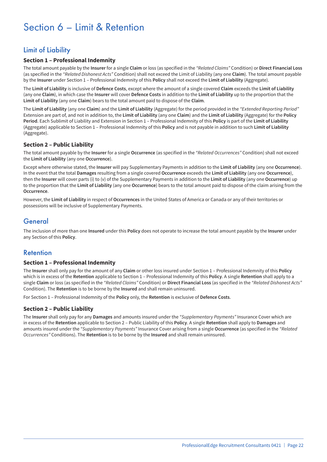## Section 6 – Limit & Retention

## Limit of Liability

#### **Section 1 – Professional Indemnity**

The total amount payable by the **Insurer** for a single **Claim** or loss (as specified in the *"Related Claims"* Condition) or **Direct Financial Loss** (as specified in the *"Related Dishonest Acts"* Condition) shall not exceed the Limit of Liability (any one **Claim**). The total amount payable by the **Insurer** under Section 1 – Professional Indemnity of this **Policy** shall not exceed the **Limit of Liability** (Aggregate).

The **Limit of Liability** is inclusive of **Defence Costs**, except where the amount of a single covered **Claim** exceeds the **Limit of Liability** (any one **Claim**), in which case the **Insurer** will cover **Defence Costs** in addition to the **Limit of Liability** up to the proportion that the **Limit of Liability** (any one **Claim**) bears to the total amount paid to dispose of the **Claim**.

The **Limit of Liability** (any one **Claim**) and the **Limit of Liability** (Aggregate) for the period provided in the *"Extended Reporting Period"* Extension are part of, and not in addition to, the **Limit of Liability** (any one **Claim**) and the **Limit of Liability** (Aggregate) for the **Policy Period**. Each Sublimit of Liability and Extension in Section 1 – Professional Indemnity of this **Policy** is part of the **Limit of Liability** (Aggregate) applicable to Section 1 – Professional Indemnity of this **Policy** and is not payable in addition to such **Limit of Liability** (Aggregate).

#### **Section 2 – Public Liability**

The total amount payable by the **Insurer** for a single **Occurrence** (as specified in the *"Related Occurrences"* Condition) shall not exceed the **Limit of Liability** (any one **Occurrence**).

Except where otherwise stated, the **Insurer** will pay Supplementary Payments in addition to the **Limit of Liability** (any one **Occurrence**). In the event that the total **Damages** resulting from a single covered **Occurrence** exceeds the **Limit of Liability** (any one **Occurrence**), then the **Insurer** will cover parts (i) to (v) of the Supplementary Payments in addition to the **Limit of Liability** (any one **Occurrence**) up to the proportion that the **Limit of Liability** (any one **Occurrence**) bears to the total amount paid to dispose of the claim arising from the **Occurrence**.

However, the **Limit of Liability** in respect of **Occurrences** in the United States of America or Canada or any of their territories or possessions will be inclusive of Supplementary Payments.

### **General**

The inclusion of more than one **Insured** under this **Policy** does not operate to increase the total amount payable by the **Insurer** under any Section of this **Policy**.

### Retention

#### **Section 1 – Professional Indemnity**

The **Insurer** shall only pay for the amount of any **Claim** or other loss insured under Section 1 – Professional Indemnity of this **Policy** which is in excess of the **Retention** applicable to Section 1 – Professional Indemnity of this **Policy**. A single **Retention** shall apply to a single **Claim** or loss (as specified in the *"Related Claims"* Condition) or **Direct Financial Loss** (as specified in the *"Related Dishonest Acts"* Condition). The **Retention** is to be borne by the **Insured** and shall remain uninsured.

For Section 1 – Professional Indemnity of the **Policy** only, the **Retention** is exclusive of **Defence Costs**.

#### **Section 2 – Public Liability**

The **Insurer** shall only pay for any **Damages** and amounts insured under the *"Supplementary Payments"* Insurance Cover which are in excess of the **Retention** applicable to Section 2 – Public Liability of this **Policy**. A single **Retention** shall apply to **Damages** and amounts insured under the *"Supplementary Payments"* Insurance Cover arising from a single **Occurrence** (as specified in the *"Related Occurrences"* Conditions). The **Retention** is to be borne by the **Insured** and shall remain uninsured.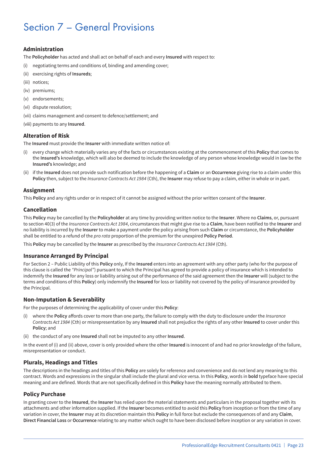## Section 7 – General Provisions

#### **Administration**

The **Policyholder** has acted and shall act on behalf of each and every **Insured** with respect to:

- (i) negotiating terms and conditions of, binding and amending cover;
- (ii) exercising rights of **Insureds**;
- (iii) notices;
- (iv) premiums;
- (v) endorsements;
- (vi) dispute resolution;
- (vii) claims management and consent to defence/settlement; and
- (viii) payments to any **Insured**.

#### **Alteration of Risk**

The **Insured** must provide the **Insurer** with immediate written notice of:

- (i) every change which materially varies any of the facts or circumstances existing at the commencement of this **Policy** that comes to the **Insured's** knowledge, which will also be deemed to include the knowledge of any person whose knowledge would in law be the **Insured's** knowledge; and
- (ii) if the **Insured** does not provide such notification before the happening of a **Claim** or an **Occurrence** giving rise to a claim under this **Policy** then, subject to the *Insurance Contracts Act 1984* (Cth), the **Insurer** may refuse to pay a claim, either in whole or in part.

#### **Assignment**

This **Policy** and any rights under or in respect of it cannot be assigned without the prior written consent of the **Insurer**.

#### **Cancellation**

This **Policy** may be cancelled by the **Policyholder** at any time by providing written notice to the **Insurer**. Where no **Claims**, or, pursuant to section 40(3) of the *Insurance Contracts Act 1984*, circumstances that might give rise to a **Claim**, have been notified to the **Insurer** and no liability is incurred by the **Insurer** to make a payment under the policy arising from such **Claim** or circumstance, the **Policyholder** shall be entitled to a refund of the *pro rata* proportion of the premium for the unexpired **Policy Period**.

This **Policy** may be cancelled by the **Insurer** as prescribed by the *Insurance Contracts Act 1984* (Cth).

#### **Insurance Arranged By Principal**

For Section 2 – Public Liability of this **Policy** only, If the **Insured** enters into an agreement with any other party (who for the purpose of this clause is called the *"Principal"*) pursuant to which the Principal has agreed to provide a policy of insurance which is intended to indemnify the **Insured** for any loss or liability arising out of the performance of the said agreement then the **Insurer** will (subject to the terms and conditions of this **Policy**) only indemnify the **Insured** for loss or liability not covered by the policy of insurance provided by the Principal.

#### **Non-Imputation & Severability**

For the purposes of determining the applicability of cover under this **Policy**:

- (i) where the **Policy** affords cover to more than one party, the failure to comply with the duty to disclosure under the *Insurance Contracts Act 1984* (Cth) or misrepresentation by any **Insured** shall not prejudice the rights of any other **Insured** to cover under this **Policy**; and
- (ii) the conduct of any one **Insured** shall not be imputed to any other **Insured**.

In the event of (i) and (ii) above, cover is only provided where the other **Insured** is innocent of and had no prior knowledge of the failure, misrepresentation or conduct.

#### **Plurals, Headings and Titles**

The descriptions in the headings and titles of this **Policy** are solely for reference and convenience and do not lend any meaning to this contract. Words and expressions in the singular shall include the plural and vice versa. In this **Policy**, words in **bold** typeface have special meaning and are defined. Words that are not specifically defined in this **Policy** have the meaning normally attributed to them.

#### **Policy Purchase**

In granting cover to the **Insured**, the **Insurer** has relied upon the material statements and particulars in the proposal together with its attachments and other information supplied. If the **Insurer** becomes entitled to avoid this **Policy** from inception or from the time of any variation in cover, the **Insurer** may at its discretion maintain this **Policy** in full force but exclude the consequences of and any **Claim**, **Direct Financial Loss** or **Occurrence** relating to any matter which ought to have been disclosed before inception or any variation in cover.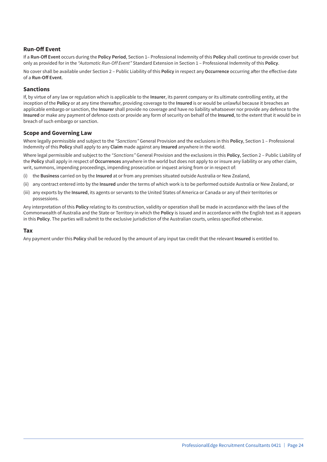#### **Run-Off Event**

If a **Run-Off Event** occurs during the **Policy Period**, Section 1– Professional Indemnity of this **Policy** shall continue to provide cover but only as provided for in the *"Automatic Run-Off Event"* Standard Extension in Section 1 – Professional Indemnity of this **Policy**.

No cover shall be available under Section 2 – Public Liability of this **Policy** in respect any **Occurrence** occurring after the effective date of a **Run-Off Event**.

#### **Sanctions**

If, by virtue of any law or regulation which is applicable to the **Insurer**, its parent company or its ultimate controlling entity, at the inception of the **Policy** or at any time thereafter, providing coverage to the **Insured** is or would be unlawful because it breaches an applicable embargo or sanction, the **Insurer** shall provide no coverage and have no liability whatsoever nor provide any defence to the **Insured** or make any payment of defence costs or provide any form of security on behalf of the **Insured**, to the extent that it would be in breach of such embargo or sanction.

#### **Scope and Governing Law**

Where legally permissible and subject to the *"Sanctions"* General Provision and the exclusions in this **Policy**, Section 1 – Professional Indemnity of this **Policy** shall apply to any **Claim** made against any **Insured** anywhere in the world.

Where legal permissible and subject to the *"Sanctions"* General Provision and the exclusions in this **Policy**, Section 2 – Public Liability of the **Policy** shall apply in respect of **Occurrences** anywhere in the world but does not apply to or insure any liability or any other claim, writ, summons, impending proceedings, impending prosecution or inquest arising from or in respect of:

- (i) the **Business** carried on by the **Insured** at or from any premises situated outside Australia or New Zealand,
- (ii) any contract entered into by the **Insured** under the terms of which work is to be performed outside Australia or New Zealand, or
- (iii) any exports by the **Insured**, its agents or servants to the United States of America or Canada or any of their territories or possessions.

Any interpretation of this **Policy** relating to its construction, validity or operation shall be made in accordance with the laws of the Commonwealth of Australia and the State or Territory in which the **Policy** is issued and in accordance with the English text as it appears in this **Policy**. The parties will submit to the exclusive jurisdiction of the Australian courts, unless specified otherwise.

#### **Tax**

Any payment under this **Policy** shall be reduced by the amount of any input tax credit that the relevant **Insured** is entitled to.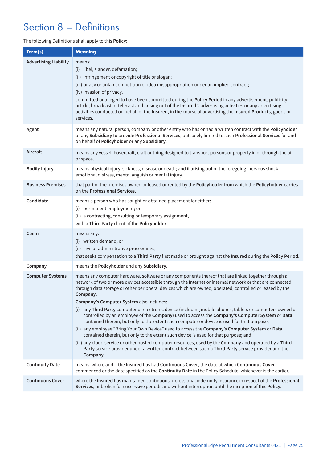## Section 8 – Definitions

The following Definitions shall apply to this **Policy**:

| Term(s)                      | Meaning                                                                                                                                                                                                                                                                                                                                                                                                                                                                                                                                                                                                                                                                                                                                                                                                                                                                                                                                                                                                                                                                                                                |
|------------------------------|------------------------------------------------------------------------------------------------------------------------------------------------------------------------------------------------------------------------------------------------------------------------------------------------------------------------------------------------------------------------------------------------------------------------------------------------------------------------------------------------------------------------------------------------------------------------------------------------------------------------------------------------------------------------------------------------------------------------------------------------------------------------------------------------------------------------------------------------------------------------------------------------------------------------------------------------------------------------------------------------------------------------------------------------------------------------------------------------------------------------|
| <b>Advertising Liability</b> | means:<br>(i) libel, slander, defamation;<br>(ii) infringement or copyright of title or slogan;<br>(iii) piracy or unfair competition or idea misappropriation under an implied contract;<br>(iv) invasion of privacy,<br>committed or alleged to have been committed during the Policy Period in any advertisement, publicity<br>article, broadcast or telecast and arising out of the Insured's advertising activities or any advertising<br>activities conducted on behalf of the Insured, in the course of advertising the Insured Products, goods or<br>services.                                                                                                                                                                                                                                                                                                                                                                                                                                                                                                                                                 |
| Agent                        | means any natural person, company or other entity who has or had a written contract with the Policyholder<br>or any Subsidiary to provide Professional Services, but solely limited to such Professional Services for and<br>on behalf of Policyholder or any Subsidiary.                                                                                                                                                                                                                                                                                                                                                                                                                                                                                                                                                                                                                                                                                                                                                                                                                                              |
| Aircraft                     | means any vessel, hovercraft, craft or thing designed to transport persons or property in or through the air<br>or space.                                                                                                                                                                                                                                                                                                                                                                                                                                                                                                                                                                                                                                                                                                                                                                                                                                                                                                                                                                                              |
| <b>Bodily Injury</b>         | means physical injury, sickness, disease or death; and if arising out of the foregoing, nervous shock,<br>emotional distress, mental anguish or mental injury.                                                                                                                                                                                                                                                                                                                                                                                                                                                                                                                                                                                                                                                                                                                                                                                                                                                                                                                                                         |
| <b>Business Premises</b>     | that part of the premises owned or leased or rented by the Policyholder from which the Policyholder carries<br>on the Professional Services.                                                                                                                                                                                                                                                                                                                                                                                                                                                                                                                                                                                                                                                                                                                                                                                                                                                                                                                                                                           |
| Candidate                    | means a person who has sought or obtained placement for either:<br>permanent employment; or<br>(i)<br>(ii) a contracting, consulting or temporary assignment,<br>with a Third Party client of the Policyholder.                                                                                                                                                                                                                                                                                                                                                                                                                                                                                                                                                                                                                                                                                                                                                                                                                                                                                                        |
| Claim                        | means any:<br>(i) written demand; or<br>(ii) civil or administrative proceedings,<br>that seeks compensation to a Third Party first made or brought against the Insured during the Policy Period.                                                                                                                                                                                                                                                                                                                                                                                                                                                                                                                                                                                                                                                                                                                                                                                                                                                                                                                      |
| Company                      | means the Policyholder and any Subsidiary.                                                                                                                                                                                                                                                                                                                                                                                                                                                                                                                                                                                                                                                                                                                                                                                                                                                                                                                                                                                                                                                                             |
| <b>Computer Systems</b>      | means any computer hardware, software or any components thereof that are linked together through a<br>network of two or more devices accessible through the Internet or internal network or that are connected<br>through data storage or other peripheral devices which are owned, operated, controlled or leased by the<br>Company.<br>Company's Computer System also includes:<br>(i) any Third Party computer or electronic device (including mobile phones, tablets or computers owned or<br>controlled by an employee of the Company) used to access the Company's Computer System or Data<br>contained therein, but only to the extent such computer or device is used for that purpose;<br>(ii) any employee "Bring Your Own Device" used to access the Company's Computer System or Data<br>contained therein, but only to the extent such device is used for that purpose; and<br>(iii) any cloud service or other hosted computer resources, used by the Company and operated by a Third<br>Party service provider under a written contract between such a Third Party service provider and the<br>Company. |
| <b>Continuity Date</b>       | means, where and if the Insured has had Continuous Cover, the date at which Continuous Cover<br>commenced or the date specified as the Continuity Date in the Policy Schedule, whichever is the earlier.                                                                                                                                                                                                                                                                                                                                                                                                                                                                                                                                                                                                                                                                                                                                                                                                                                                                                                               |
| <b>Continuous Cover</b>      | where the Insured has maintained continuous professional indemnity insurance in respect of the Professional<br>Services, unbroken for successive periods and without interruption until the inception of this Policy.                                                                                                                                                                                                                                                                                                                                                                                                                                                                                                                                                                                                                                                                                                                                                                                                                                                                                                  |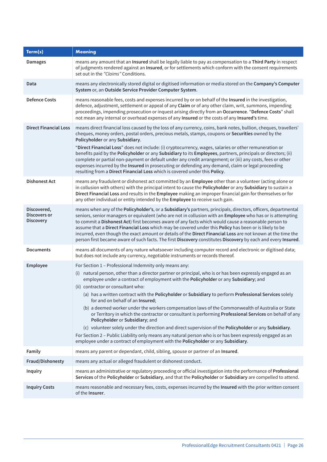| Term(s)                                         | <b>Meaning</b>                                                                                                                                                                                                                                                                                                                                                                                                                                                                                                                                                                                                                                                                                                                                                                                                                                                                                                                                                                                                 |
|-------------------------------------------------|----------------------------------------------------------------------------------------------------------------------------------------------------------------------------------------------------------------------------------------------------------------------------------------------------------------------------------------------------------------------------------------------------------------------------------------------------------------------------------------------------------------------------------------------------------------------------------------------------------------------------------------------------------------------------------------------------------------------------------------------------------------------------------------------------------------------------------------------------------------------------------------------------------------------------------------------------------------------------------------------------------------|
| <b>Damages</b>                                  | means any amount that an Insured shall be legally liable to pay as compensation to a Third Party in respect<br>of judgments rendered against an Insured, or for settlements which conform with the consent requirements<br>set out in the "Claims" Conditions.                                                                                                                                                                                                                                                                                                                                                                                                                                                                                                                                                                                                                                                                                                                                                 |
| Data                                            | means any electronically stored digital or digitised information or media stored on the Company's Computer<br>System or, an Outside Service Provider Computer System.                                                                                                                                                                                                                                                                                                                                                                                                                                                                                                                                                                                                                                                                                                                                                                                                                                          |
| <b>Defence Costs</b>                            | means reasonable fees, costs and expenses incurred by or on behalf of the Insured in the investigation,<br>defence, adjustment, settlement or appeal of any Claim or of any other claim, writ, summons, impending<br>proceedings, impending prosecution or inquest arising directly from an Occurrence. "Defence Costs" shall<br>not mean any internal or overhead expenses of any Insured or the costs of any Insured's time.                                                                                                                                                                                                                                                                                                                                                                                                                                                                                                                                                                                 |
| <b>Direct Financial Loss</b>                    | means direct financial loss caused by the loss of any currency, coins, bank notes, bullion, cheques, travellers'<br>cheques, money orders, postal orders, precious metals, stamps, coupons or Securities owned by the<br>Policyholder or any Subsidiary.<br>"Direct Financial Loss" does not include: (i) cryptocurrency, wages, salaries or other remuneration or<br>benefits paid by the Policyholder or any Subsidiary to its Employees, partners, principals or directors; (ii)<br>complete or partial non-payment or default under any credit arrangement; or (iii) any costs, fees or other<br>expenses incurred by the Insured in prosecuting or defending any demand, claim or legal proceeding<br>resulting from a Direct Financial Loss which is covered under this Policy.                                                                                                                                                                                                                          |
| <b>Dishonest Act</b>                            | means any fraudulent or dishonest act committed by an Employee other than a volunteer (acting alone or<br>in collusion with others) with the principal intent to cause the Policyholder or any Subsidiary to sustain a<br>Direct Financial Loss and results in the Employee making an improper financial gain for themselves or for<br>any other individual or entity intended by the Employee to receive such gain.                                                                                                                                                                                                                                                                                                                                                                                                                                                                                                                                                                                           |
| Discovered,<br>Discovers or<br><b>Discovery</b> | means when any of the Policyholder's, or a Subsidiary's partners, principals, directors, officers, departmental<br>seniors, senior managers or equivalent (who are not in collusion with an Employee who has or is attempting<br>to commit a Dishonest Act) first becomes aware of any facts which would cause a reasonable person to<br>assume that a Direct Financial Loss which may be covered under this Policy has been or is likely to be<br>incurred, even though the exact amount or details of the Direct Financial Loss are not known at the time the<br>person first became aware of such facts. The first Discovery constitutes Discovery by each and every Insured.                                                                                                                                                                                                                                                                                                                               |
| <b>Documents</b>                                | means all documents of any nature whatsoever including computer record and electronic or digitised data;<br>but does not include any currency, negotiable instruments or records thereof.                                                                                                                                                                                                                                                                                                                                                                                                                                                                                                                                                                                                                                                                                                                                                                                                                      |
| Employee                                        | For Section 1 - Professional Indemnity only means any:<br>(i) natural person, other than a director partner or principal, who is or has been expressly engaged as an<br>employee under a contract of employment with the Policyholder or any Subsidiary; and<br>(ii) contractor or consultant who:<br>(a) has a written contract with the Policyholder or Subsidiary to perform Professional Services solely<br>for and on behalf of an Insured;<br>(b) a deemed worker under the workers compensation laws of the Commonwealth of Australia or State<br>or Territory in which the contractor or consultant is performing Professional Services on behalf of any<br>Policyholder or Subsidiary; and<br>(c) volunteer solely under the direction and direct supervision of the Policyholder or any Subsidiary.<br>For Section 2 – Public Liability only means any natural person who is or has been expressly engaged as an<br>employee under a contract of employment with the Policyholder or any Subsidiary. |
| Family                                          | means any parent or dependant, child, sibling, spouse or partner of an Insured.                                                                                                                                                                                                                                                                                                                                                                                                                                                                                                                                                                                                                                                                                                                                                                                                                                                                                                                                |
| Fraud/Dishonesty                                | means any actual or alleged fraudulent or dishonest conduct.                                                                                                                                                                                                                                                                                                                                                                                                                                                                                                                                                                                                                                                                                                                                                                                                                                                                                                                                                   |
| Inquiry                                         | means an administrative or regulatory proceeding or official investigation into the performance of Professional<br>Services of the Policyholder or Subsidiary, and that the Policyholder or Subsidiary are compelled to attend.                                                                                                                                                                                                                                                                                                                                                                                                                                                                                                                                                                                                                                                                                                                                                                                |
| <b>Inquiry Costs</b>                            | means reasonable and necessary fees, costs, expenses incurred by the Insured with the prior written consent<br>of the Insurer.                                                                                                                                                                                                                                                                                                                                                                                                                                                                                                                                                                                                                                                                                                                                                                                                                                                                                 |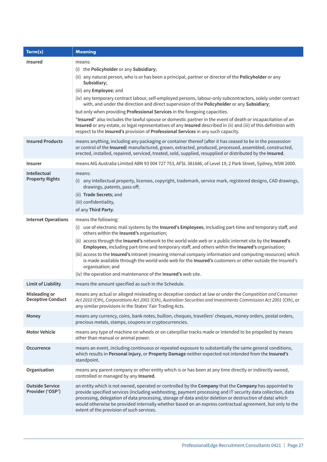| Term(s)                                    | <b>Meaning</b>                                                                                                                                                                                                                                                                                                                                                                                                                                                                                                                                                                                                                                                                                                                                                                                                                |
|--------------------------------------------|-------------------------------------------------------------------------------------------------------------------------------------------------------------------------------------------------------------------------------------------------------------------------------------------------------------------------------------------------------------------------------------------------------------------------------------------------------------------------------------------------------------------------------------------------------------------------------------------------------------------------------------------------------------------------------------------------------------------------------------------------------------------------------------------------------------------------------|
| Insured                                    | means:<br>(i) the Policyholder or any Subsidiary;<br>(ii) any natural person, who is or has been a principal, partner or director of the Policyholder or any<br>Subsidiary;<br>(iii) any Employee; and<br>(iv) any temporary contract labour, self-employed persons, labour-only subcontractors, solely under contract<br>with, and under the direction and direct supervision of the Policyholder or any Subsidiary;<br>but only when providing Professional Services in the foregoing capacities.<br>"Insured" also includes the lawful spouse or domestic partner in the event of death or incapacitation of an<br>Insured or any estate, or legal representatives of any Insured described in (ii) and (iii) of this definition with<br>respect to the Insured's provision of Professional Services in any such capacity. |
| <b>Insured Products</b>                    | means anything, including any packaging or container thereof (after it has ceased to be in the possession<br>or control of the Insured) manufactured, grown, extracted, produced, processed, assembled, constructed,<br>erected, installed, repaired, serviced, treated, sold, supplied, resupplied or distributed by the Insured.                                                                                                                                                                                                                                                                                                                                                                                                                                                                                            |
| <b>Insurer</b>                             | means AIG Australia Limited ABN 93 004 727 753, AFSL 381686, of Level 19, 2 Park Street, Sydney, NSW 2000.                                                                                                                                                                                                                                                                                                                                                                                                                                                                                                                                                                                                                                                                                                                    |
| Intellectual<br><b>Property Rights</b>     | means:<br>(i) any intellectual property, licenses, copyright, trademark, service mark, registered designs, CAD drawings,<br>drawings, patents, pass off;<br>(ii) Trade Secrets; and<br>(iii) confidentiality,<br>of any Third Party.                                                                                                                                                                                                                                                                                                                                                                                                                                                                                                                                                                                          |
| <b>Internet Operations</b>                 | means the following:<br>(i) use of electronic mail systems by the Insured's Employees, including part-time and temporary staff, and<br>others within the Insured's organisation;<br>(ii) access through the Insured's network to the world wide web or a public internet site by the Insured's<br>Employees, including part-time and temporary staff, and others within the Insured's organisation;<br>(iii) access to the Insured's intranet (meaning internal company information and computing resources) which<br>is made available through the world wide web for the Insured's customers or other outside the Insured's<br>organisation; and<br>(iv) the operation and maintenance of the Insured's web site.                                                                                                           |
| <b>Limit of Liability</b>                  | means the amount specified as such in the Schedule.                                                                                                                                                                                                                                                                                                                                                                                                                                                                                                                                                                                                                                                                                                                                                                           |
| Misleading or<br><b>Deceptive Conduct</b>  | means any actual or alleged misleading or deceptive conduct at law or under the Competition and Consumer<br>Act 2010 (Cth), Corporations Act 2001 (Cth), Australian Securities and Investments Commission Act 2001 (Cth), or<br>any similar provisions in the States' Fair Trading Acts.                                                                                                                                                                                                                                                                                                                                                                                                                                                                                                                                      |
| Money                                      | means any currency, coins, bank notes, bullion, cheques, travellers' cheques, money orders, postal orders,<br>precious metals, stamps, coupons or cryptocurrencies.                                                                                                                                                                                                                                                                                                                                                                                                                                                                                                                                                                                                                                                           |
| <b>Motor Vehicle</b>                       | means any type of machine on wheels or on caterpillar tracks made or intended to be propelled by means<br>other than manual or animal power.                                                                                                                                                                                                                                                                                                                                                                                                                                                                                                                                                                                                                                                                                  |
| <b>Occurrence</b>                          | means an event, including continuous or repeated exposure to substantially the same general conditions,<br>which results in Personal Injury, or Property Damage neither expected not intended from the Insured's<br>standpoint.                                                                                                                                                                                                                                                                                                                                                                                                                                                                                                                                                                                               |
| Organisation                               | means any parent company or other entity which is or has been at any time directly or indirectly owned,<br>controlled or managed by any Insured.                                                                                                                                                                                                                                                                                                                                                                                                                                                                                                                                                                                                                                                                              |
| <b>Outside Service</b><br>Provider ('OSP') | an entity which is not owned, operated or controlled by the Company that the Company has appointed to<br>provide specified services (including webhosting, payment processing and IT security data collection, data<br>processing, delegation of data processing, storage of data and/or deletion or destruction of data) which<br>would otherwise be provided internally whether based on an express contractual agreement, but only to the<br>extent of the provision of such services.                                                                                                                                                                                                                                                                                                                                     |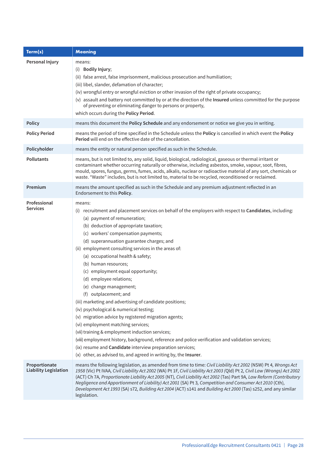| Term(s)                                       | <b>Meaning</b>                                                                                                                                                                                                                                                                                                                                                                                                                                                                                                                                                                                                                                                                                                                                                                                                                                                                                                                                                                                                        |
|-----------------------------------------------|-----------------------------------------------------------------------------------------------------------------------------------------------------------------------------------------------------------------------------------------------------------------------------------------------------------------------------------------------------------------------------------------------------------------------------------------------------------------------------------------------------------------------------------------------------------------------------------------------------------------------------------------------------------------------------------------------------------------------------------------------------------------------------------------------------------------------------------------------------------------------------------------------------------------------------------------------------------------------------------------------------------------------|
| Personal Injury                               | means:<br>(i) Bodily Injury;<br>(ii) false arrest, false imprisonment, malicious prosecution and humiliation;<br>(iii) libel, slander, defamation of character;<br>(iv) wrongful entry or wrongful eviction or other invasion of the right of private occupancy;<br>(v) assault and battery not committed by or at the direction of the Insured unless committed for the purpose<br>of preventing or eliminating danger to persons or property,<br>which occurs during the Policy Period.                                                                                                                                                                                                                                                                                                                                                                                                                                                                                                                             |
| <b>Policy</b>                                 | means this document the Policy Schedule and any endorsement or notice we give you in writing.                                                                                                                                                                                                                                                                                                                                                                                                                                                                                                                                                                                                                                                                                                                                                                                                                                                                                                                         |
| <b>Policy Period</b>                          | means the period of time specified in the Schedule unless the Policy is cancelled in which event the Policy<br><b>Period</b> will end on the effective date of the cancellation.                                                                                                                                                                                                                                                                                                                                                                                                                                                                                                                                                                                                                                                                                                                                                                                                                                      |
| Policyholder                                  | means the entity or natural person specified as such in the Schedule.                                                                                                                                                                                                                                                                                                                                                                                                                                                                                                                                                                                                                                                                                                                                                                                                                                                                                                                                                 |
| <b>Pollutants</b>                             | means, but is not limited to, any solid, liquid, biological, radiological, gaseous or thermal irritant or<br>contaminant whether occurring naturally or otherwise, including asbestos, smoke, vapour, soot, fibres,<br>mould, spores, fungus, germs, fumes, acids, alkalis, nuclear or radioactive material of any sort, chemicals or<br>waste. "Waste" includes, but is not limited to, material to be recycled, reconditioned or reclaimed.                                                                                                                                                                                                                                                                                                                                                                                                                                                                                                                                                                         |
| Premium                                       | means the amount specified as such in the Schedule and any premium adjustment reflected in an<br>Endorsement to this Policy.                                                                                                                                                                                                                                                                                                                                                                                                                                                                                                                                                                                                                                                                                                                                                                                                                                                                                          |
| Professional<br><b>Services</b>               | means:<br>(i) recruitment and placement services on behalf of the employers with respect to Candidates, including:<br>(a) payment of remuneration;<br>(b) deduction of appropriate taxation;<br>(c) workers' compensation payments;<br>(d) superannuation guarantee charges; and<br>(ii) employment consulting services in the areas of:<br>(a) occupational health & safety;<br>(b) human resources;<br>(c) employment equal opportunity;<br>(d) employee relations;<br>(e) change management;<br>(f) outplacement; and<br>(iii) marketing and advertising of candidate positions;<br>(iv) psychological & numerical testing;<br>(v) migration advice by registered migration agents;<br>(vi) employment matching services;<br>(vii) training & employment induction services;<br>(viii) employment history, background, reference and police verification and validation services;<br>(ix) resume and Candidate interview preparation services;<br>(x) other, as advised to, and agreed in writing by, the Insurer. |
| Proportionate<br><b>Liability Legislation</b> | means the following legislation, as amended from time to time: Civil Liability Act 2002 (NSW) Pt 4, Wrongs Act<br>1958 (Vic) Pt IVAA, Civil Liability Act 2002 (WA) Pt 1F, Civil Liability Act 2003 (Qld) Pt 2, Civil Law (Wrongs) Act 2002<br>(ACT) Ch 7A, Proportionate Liability Act 2005 (NT), Civil Liability Act 2002 (Tas) Part 9A, Law Reform (Contributory<br>Negligence and Apportionment of Liability) Act 2001 (SA) Pt 3, Competition and Consumer Act 2010 (Cth),<br>Development Act 1993 (SA) s72, Building Act 2004 (ACT) s141 and Building Act 2000 (Tas) s252, and any similar<br>legislation.                                                                                                                                                                                                                                                                                                                                                                                                       |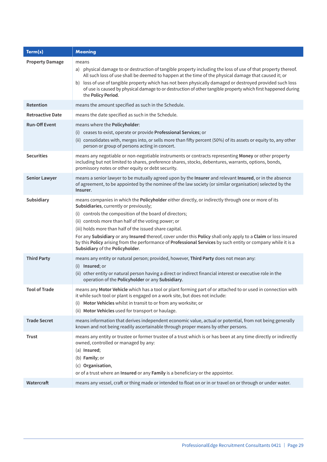| Term(s)                 | <b>Meaning</b>                                                                                                                                                                                                                                                                                                                                                                                                                                                                                                                                                                                   |
|-------------------------|--------------------------------------------------------------------------------------------------------------------------------------------------------------------------------------------------------------------------------------------------------------------------------------------------------------------------------------------------------------------------------------------------------------------------------------------------------------------------------------------------------------------------------------------------------------------------------------------------|
| <b>Property Damage</b>  | means<br>a) physical damage to or destruction of tangible property including the loss of use of that property thereof.<br>All such loss of use shall be deemed to happen at the time of the physical damage that caused it; or<br>b) loss of use of tangible property which has not been physically damaged or destroyed provided such loss<br>of use is caused by physical damage to or destruction of other tangible property which first happened during<br>the Policy Period.                                                                                                                |
| Retention               | means the amount specified as such in the Schedule.                                                                                                                                                                                                                                                                                                                                                                                                                                                                                                                                              |
| <b>Retroactive Date</b> | means the date specified as such in the Schedule.                                                                                                                                                                                                                                                                                                                                                                                                                                                                                                                                                |
| <b>Run-Off Event</b>    | means where the Policyholder:<br>(i) ceases to exist, operate or provide Professional Services; or<br>(ii) consolidates with, merges into, or sells more than fifty percent (50%) of its assets or equity to, any other<br>person or group of persons acting in concert.                                                                                                                                                                                                                                                                                                                         |
| <b>Securities</b>       | means any negotiable or non-negotiable instruments or contracts representing Money or other property<br>including but not limited to shares, preference shares, stocks, debentures, warrants, options, bonds,<br>promissory notes or other equity or debt security.                                                                                                                                                                                                                                                                                                                              |
| <b>Senior Lawyer</b>    | means a senior lawyer to be mutually agreed upon by the Insurer and relevant Insured, or in the absence<br>of agreement, to be appointed by the nominee of the law society (or similar organisation) selected by the<br>Insurer.                                                                                                                                                                                                                                                                                                                                                                 |
| Subsidiary              | means companies in which the Policyholder either directly, or indirectly through one or more of its<br>Subsidiaries, currently or previously;<br>(i) controls the composition of the board of directors;<br>(ii) controls more than half of the voting power; or<br>(iii) holds more than half of the issued share capital.<br>For any Subsidiary or any Insured thereof, cover under this Policy shall only apply to a Claim or loss insured<br>by this Policy arising from the performance of Professional Services by such entity or company while it is a<br>Subsidiary of the Policyholder. |
| <b>Third Party</b>      | means any entity or natural person; provided, however, Third Party does not mean any:<br>(i) Insured; or<br>(ii) other entity or natural person having a direct or indirect financial interest or executive role in the<br>operation of the Policyholder or any Subsidiary.                                                                                                                                                                                                                                                                                                                      |
| <b>Tool of Trade</b>    | means any Motor Vehicle which has a tool or plant forming part of or attached to or used in connection with<br>it while such tool or plant is engaged on a work site, but does not include:<br>Motor Vehicles whilst in transit to or from any worksite; or<br>(i)<br>(ii) Motor Vehicles used for transport or haulage.                                                                                                                                                                                                                                                                         |
| <b>Trade Secret</b>     | means information that derives independent economic value, actual or potential, from not being generally<br>known and not being readily ascertainable through proper means by other persons.                                                                                                                                                                                                                                                                                                                                                                                                     |
| <b>Trust</b>            | means any entity or trustee or former trustee of a trust which is or has been at any time directly or indirectly<br>owned, controlled or managed by any:<br>(a) Insured;<br>(b) Family; or<br>(c) Organisation,<br>or of a trust where an Insured or any Family is a beneficiary or the appointor.                                                                                                                                                                                                                                                                                               |
| Watercraft              | means any vessel, craft or thing made or intended to float on or in or travel on or through or under water.                                                                                                                                                                                                                                                                                                                                                                                                                                                                                      |